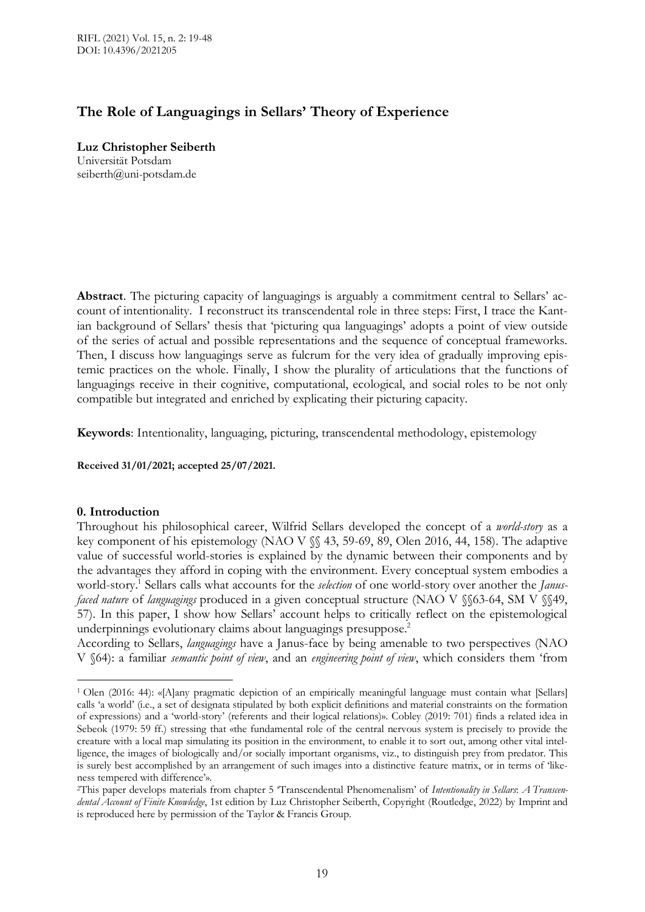# **The Role of Languagings in Sellars' Theory of Experience**

**Luz Christopher Seiberth** Universität Potsdam seiberth@uni-potsdam.de

**Abstract**. The picturing capacity of languagings is arguably a commitment central to Sellars' account of intentionality. I reconstruct its transcendental role in three steps: First, I trace the Kantian background of Sellars' thesis that 'picturing qua languagings' adopts a point of view outside of the series of actual and possible representations and the sequence of conceptual frameworks. Then, I discuss how languagings serve as fulcrum for the very idea of gradually improving epistemic practices on the whole. Finally, I show the plurality of articulations that the functions of languagings receive in their cognitive, computational, ecological, and social roles to be not only compatible but integrated and enriched by explicating their picturing capacity.

**Keywords**: Intentionality, languaging, picturing, transcendental methodology, epistemology

**Received 31/01/2021; accepted 25/07/2021.**

## **0. Introduction**

 $\overline{a}$ 

Throughout his philosophical career, Wilfrid Sellars developed the concept of a *world-story* as a key component of his epistemology (NAO V §§ 43, 59-69, 89, Olen 2016, 44, 158). The adaptive value of successful world-stories is explained by the dynamic between their components and by the advantages they afford in coping with the environment. Every conceptual system embodies a world-story.<sup>1</sup> Sellars calls what accounts for the *selection* of one world-story over another the *Janusfaced nature* of *languagings* produced in a given conceptual structure (NAO V §§63-64, SM V §§49, 57). In this paper, I show how Sellars' account helps to critically reflect on the epistemological underpinnings evolutionary claims about languagings presuppose. 2

According to Sellars, *languagings* have a Janus-face by being amenable to two perspectives (NAO V §64): a familiar *semantic point of view*, and an *engineering point of view*, which considers them 'from

<sup>1</sup> Olen (2016: 44): «[A]any pragmatic depiction of an empirically meaningful language must contain what [Sellars] calls 'a world' (i.e., a set of designata stipulated by both explicit definitions and material constraints on the formation of expressions) and a 'world-story' (referents and their logical relations)». Cobley (2019: 701) finds a related idea in Sebeok (1979: 59 ff.) stressing that «the fundamental role of the central nervous system is precisely to provide the creature with a local map simulating its position in the environment, to enable it to sort out, among other vital intelligence, the images of biologically and/or socially important organisms, viz., to distinguish prey from predator. This is surely best accomplished by an arrangement of such images into a distinctive feature matrix, or in terms of 'likeness tempered with difference'».

<sup>2</sup>This paper develops materials from chapter 5 'Transcendental Phenomenalism' of *Intentionality in Sellars*: *A Transcendental Account of Finite Knowledge*, 1st edition by Luz Christopher Seiberth, Copyright (Routledge, 2022) by Imprint and is reproduced here by permission of the Taylor & Francis Group.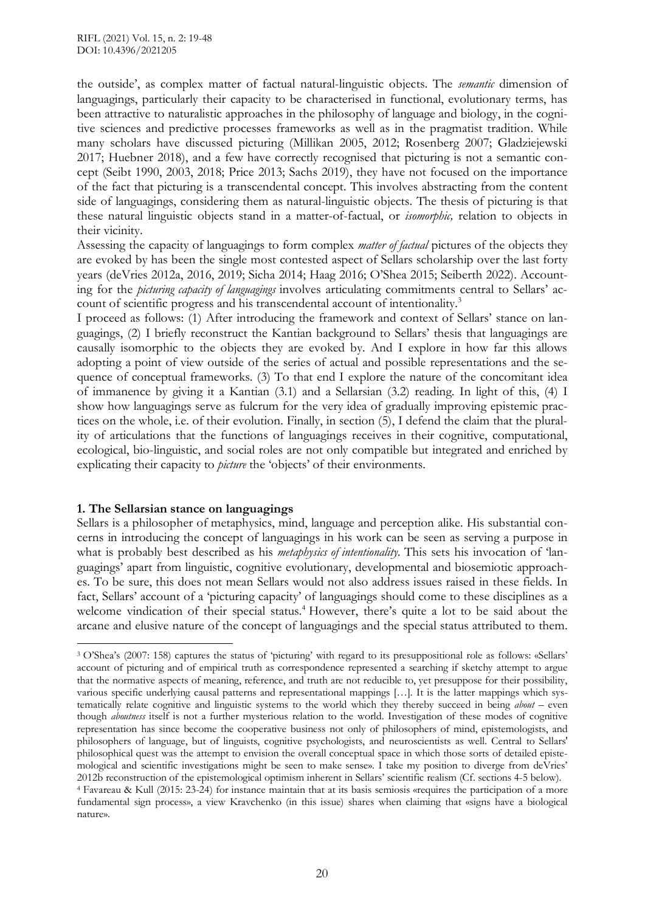the outside', as complex matter of factual natural-linguistic objects. The *semantic* dimension of languagings, particularly their capacity to be characterised in functional, evolutionary terms, has been attractive to naturalistic approaches in the philosophy of language and biology, in the cognitive sciences and predictive processes frameworks as well as in the pragmatist tradition. While many scholars have discussed picturing (Millikan 2005, 2012; Rosenberg 2007; Gladziejewski 2017; Huebner 2018), and a few have correctly recognised that picturing is not a semantic concept (Seibt 1990, 2003, 2018; Price 2013; Sachs 2019), they have not focused on the importance of the fact that picturing is a transcendental concept. This involves abstracting from the content side of languagings, considering them as natural-linguistic objects. The thesis of picturing is that these natural linguistic objects stand in a matter-of-factual, or *isomorphic,* relation to objects in their vicinity.

Assessing the capacity of languagings to form complex *matter of factual* pictures of the objects they are evoked by has been the single most contested aspect of Sellars scholarship over the last forty years (deVries 2012a, 2016, 2019; Sicha 2014; Haag 2016; O'Shea 2015; Seiberth 2022). Accounting for the *picturing capacity of languagings* involves articulating commitments central to Sellars' account of scientific progress and his transcendental account of intentionality.<sup>3</sup>

I proceed as follows: (1) After introducing the framework and context of Sellars' stance on languagings, (2) I briefly reconstruct the Kantian background to Sellars' thesis that languagings are causally isomorphic to the objects they are evoked by. And I explore in how far this allows adopting a point of view outside of the series of actual and possible representations and the sequence of conceptual frameworks. (3) To that end I explore the nature of the concomitant idea of immanence by giving it a Kantian (3.1) and a Sellarsian (3.2) reading. In light of this, (4) I show how languagings serve as fulcrum for the very idea of gradually improving epistemic practices on the whole, i.e. of their evolution. Finally, in section (5), I defend the claim that the plurality of articulations that the functions of languagings receives in their cognitive, computational, ecological, bio-linguistic, and social roles are not only compatible but integrated and enriched by explicating their capacity to *picture* the 'objects' of their environments.

## **1. The Sellarsian stance on languagings**

Sellars is a philosopher of metaphysics, mind, language and perception alike. His substantial concerns in introducing the concept of languagings in his work can be seen as serving a purpose in what is probably best described as his *metaphysics of intentionality.* This sets his invocation of 'languagings' apart from linguistic, cognitive evolutionary, developmental and biosemiotic approaches. To be sure, this does not mean Sellars would not also address issues raised in these fields. In fact, Sellars' account of a 'picturing capacity' of languagings should come to these disciplines as a welcome vindication of their special status. <sup>4</sup> However, there's quite a lot to be said about the arcane and elusive nature of the concept of languagings and the special status attributed to them.

nature».

 $\overline{a}$ <sup>3</sup> O'Shea's (2007: 158) captures the status of 'picturing' with regard to its presuppositional role as follows: «Sellars' account of picturing and of empirical truth as correspondence represented a searching if sketchy attempt to argue that the normative aspects of meaning, reference, and truth are not reducible to, yet presuppose for their possibility, various specific underlying causal patterns and representational mappings […]. It is the latter mappings which systematically relate cognitive and linguistic systems to the world which they thereby succeed in being *about* – even though *aboutness* itself is not a further mysterious relation to the world. Investigation of these modes of cognitive representation has since become the cooperative business not only of philosophers of mind, epistemologists, and philosophers of language, but of linguists, cognitive psychologists, and neuroscientists as well. Central to Sellars' philosophical quest was the attempt to envision the overall conceptual space in which those sorts of detailed epistemological and scientific investigations might be seen to make sense». I take my position to diverge from deVries' 2012b reconstruction of the epistemological optimism inherent in Sellars' scientific realism (Cf. sections 4-5 below). <sup>4</sup> Favareau & Kull (2015: 23-24) for instance maintain that at its basis semiosis «requires the participation of a more fundamental sign process», a view Kravchenko (in this issue) shares when claiming that «signs have a biological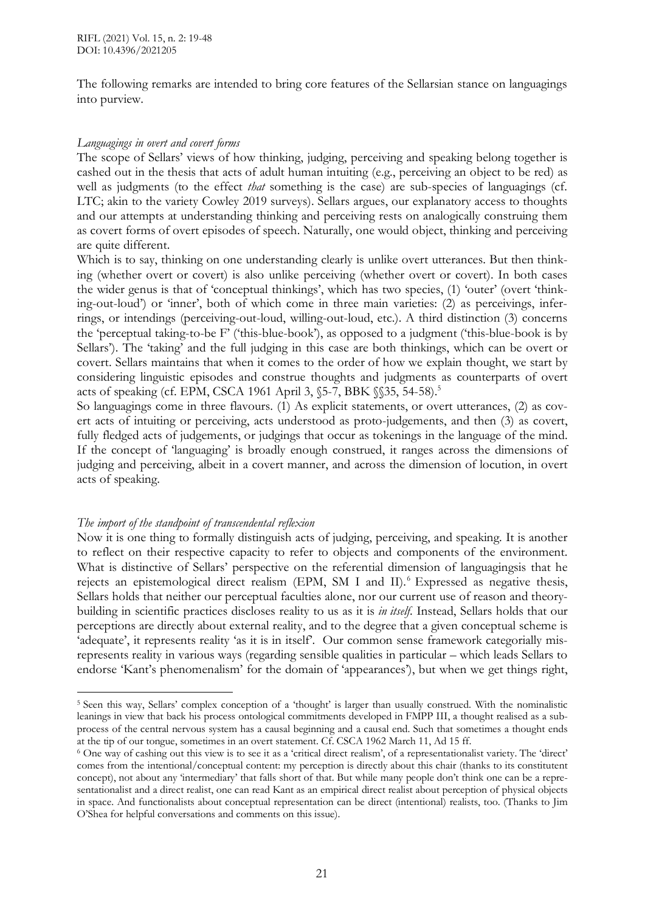The following remarks are intended to bring core features of the Sellarsian stance on languagings into purview.

#### *Languagings in overt and covert forms*

The scope of Sellars' views of how thinking, judging, perceiving and speaking belong together is cashed out in the thesis that acts of adult human intuiting (e.g., perceiving an object to be red) as well as judgments (to the effect *that* something is the case) are sub-species of languagings (cf. LTC; akin to the variety Cowley 2019 surveys). Sellars argues, our explanatory access to thoughts and our attempts at understanding thinking and perceiving rests on analogically construing them as covert forms of overt episodes of speech. Naturally, one would object, thinking and perceiving are quite different.

Which is to say, thinking on one understanding clearly is unlike overt utterances. But then thinking (whether overt or covert) is also unlike perceiving (whether overt or covert). In both cases the wider genus is that of 'conceptual thinkings', which has two species, (1) 'outer' (overt 'thinking-out-loud') or 'inner', both of which come in three main varieties: (2) as perceivings, inferrings, or intendings (perceiving-out-loud, willing-out-loud, etc.). A third distinction (3) concerns the 'perceptual taking-to-be F' ('this-blue-book'), as opposed to a judgment ('this-blue-book is by Sellars'). The 'taking' and the full judging in this case are both thinkings, which can be overt or covert. Sellars maintains that when it comes to the order of how we explain thought, we start by considering linguistic episodes and construe thoughts and judgments as counterparts of overt acts of speaking (cf. EPM, CSCA 1961 April 3, §5-7, BBK §§35, 54-58).<sup>5</sup>

So languagings come in three flavours. (1) As explicit statements, or overt utterances, (2) as covert acts of intuiting or perceiving, acts understood as proto-judgements, and then (3) as covert, fully fledged acts of judgements, or judgings that occur as tokenings in the language of the mind. If the concept of 'languaging' is broadly enough construed, it ranges across the dimensions of judging and perceiving, albeit in a covert manner, and across the dimension of locution, in overt acts of speaking.

## *The import of the standpoint of transcendental reflexion*

 $\overline{a}$ 

Now it is one thing to formally distinguish acts of judging, perceiving, and speaking. It is another to reflect on their respective capacity to refer to objects and components of the environment. What is distinctive of Sellars' perspective on the referential dimension of languagingsis that he rejects an epistemological direct realism (EPM, SM I and II). <sup>6</sup> Expressed as negative thesis, Sellars holds that neither our perceptual faculties alone, nor our current use of reason and theorybuilding in scientific practices discloses reality to us as it is *in itself*. Instead, Sellars holds that our perceptions are directly about external reality, and to the degree that a given conceptual scheme is 'adequate', it represents reality 'as it is in itself'. Our common sense framework categorially misrepresents reality in various ways (regarding sensible qualities in particular – which leads Sellars to endorse 'Kant's phenomenalism' for the domain of 'appearances'), but when we get things right,

<sup>5</sup> Seen this way, Sellars' complex conception of a 'thought' is larger than usually construed. With the nominalistic leanings in view that back his process ontological commitments developed in FMPP III, a thought realised as a subprocess of the central nervous system has a causal beginning and a causal end. Such that sometimes a thought ends at the tip of our tongue, sometimes in an overt statement. Cf. CSCA 1962 March 11, Ad 15 ff.

<sup>6</sup> One way of cashing out this view is to see it as a 'critical direct realism', of a representationalist variety. The 'direct' comes from the intentional/conceptual content: my perception is directly about this chair (thanks to its constitutent concept), not about any 'intermediary' that falls short of that. But while many people don't think one can be a representationalist and a direct realist, one can read Kant as an empirical direct realist about perception of physical objects in space. And functionalists about conceptual representation can be direct (intentional) realists, too. (Thanks to Jim O'Shea for helpful conversations and comments on this issue).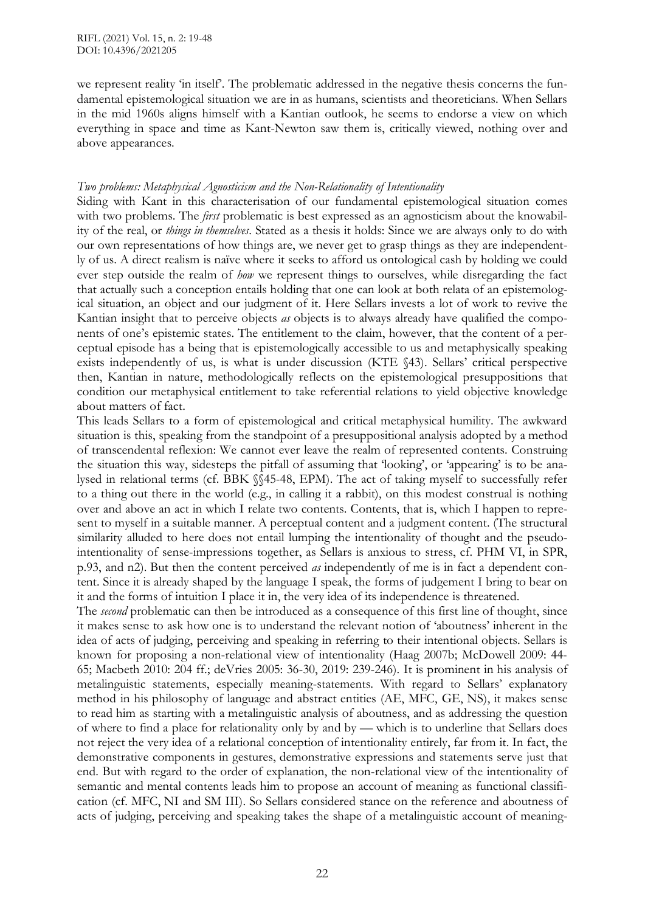we represent reality 'in itself'. The problematic addressed in the negative thesis concerns the fundamental epistemological situation we are in as humans, scientists and theoreticians. When Sellars in the mid 1960s aligns himself with a Kantian outlook, he seems to endorse a view on which everything in space and time as Kant-Newton saw them is, critically viewed, nothing over and above appearances.

## *Two problems: Metaphysical Agnosticism and the Non-Relationality of Intentionality*

Siding with Kant in this characterisation of our fundamental epistemological situation comes with two problems. The *first* problematic is best expressed as an agnosticism about the knowability of the real, or *things in themselves*. Stated as a thesis it holds: Since we are always only to do with our own representations of how things are, we never get to grasp things as they are independently of us. A direct realism is naïve where it seeks to afford us ontological cash by holding we could ever step outside the realm of *how* we represent things to ourselves, while disregarding the fact that actually such a conception entails holding that one can look at both relata of an epistemological situation, an object and our judgment of it. Here Sellars invests a lot of work to revive the Kantian insight that to perceive objects *as* objects is to always already have qualified the components of one's epistemic states. The entitlement to the claim, however, that the content of a perceptual episode has a being that is epistemologically accessible to us and metaphysically speaking exists independently of us, is what is under discussion (KTE §43). Sellars' critical perspective then, Kantian in nature, methodologically reflects on the epistemological presuppositions that condition our metaphysical entitlement to take referential relations to yield objective knowledge about matters of fact.

This leads Sellars to a form of epistemological and critical metaphysical humility. The awkward situation is this, speaking from the standpoint of a presuppositional analysis adopted by a method of transcendental reflexion: We cannot ever leave the realm of represented contents. Construing the situation this way, sidesteps the pitfall of assuming that 'looking', or 'appearing' is to be analysed in relational terms (cf. BBK §§45-48, EPM). The act of taking myself to successfully refer to a thing out there in the world (e.g., in calling it a rabbit), on this modest construal is nothing over and above an act in which I relate two contents. Contents, that is, which I happen to represent to myself in a suitable manner. A perceptual content and a judgment content. (The structural similarity alluded to here does not entail lumping the intentionality of thought and the pseudointentionality of sense-impressions together, as Sellars is anxious to stress, cf. PHM VI, in SPR, p.93, and n2). But then the content perceived *as* independently of me is in fact a dependent content. Since it is already shaped by the language I speak, the forms of judgement I bring to bear on it and the forms of intuition I place it in, the very idea of its independence is threatened.

The *second* problematic can then be introduced as a consequence of this first line of thought, since it makes sense to ask how one is to understand the relevant notion of 'aboutness' inherent in the idea of acts of judging, perceiving and speaking in referring to their intentional objects. Sellars is known for proposing a non-relational view of intentionality (Haag 2007b; McDowell 2009: 44- 65; Macbeth 2010: 204 ff.; deVries 2005: 36-30, 2019: 239-246). It is prominent in his analysis of metalinguistic statements, especially meaning-statements. With regard to Sellars' explanatory method in his philosophy of language and abstract entities (AE, MFC, GE, NS), it makes sense to read him as starting with a metalinguistic analysis of aboutness, and as addressing the question of where to find a place for relationality only by and by — which is to underline that Sellars does not reject the very idea of a relational conception of intentionality entirely, far from it. In fact, the demonstrative components in gestures, demonstrative expressions and statements serve just that end. But with regard to the order of explanation, the non-relational view of the intentionality of semantic and mental contents leads him to propose an account of meaning as functional classification (cf. MFC, NI and SM III). So Sellars considered stance on the reference and aboutness of acts of judging, perceiving and speaking takes the shape of a metalinguistic account of meaning-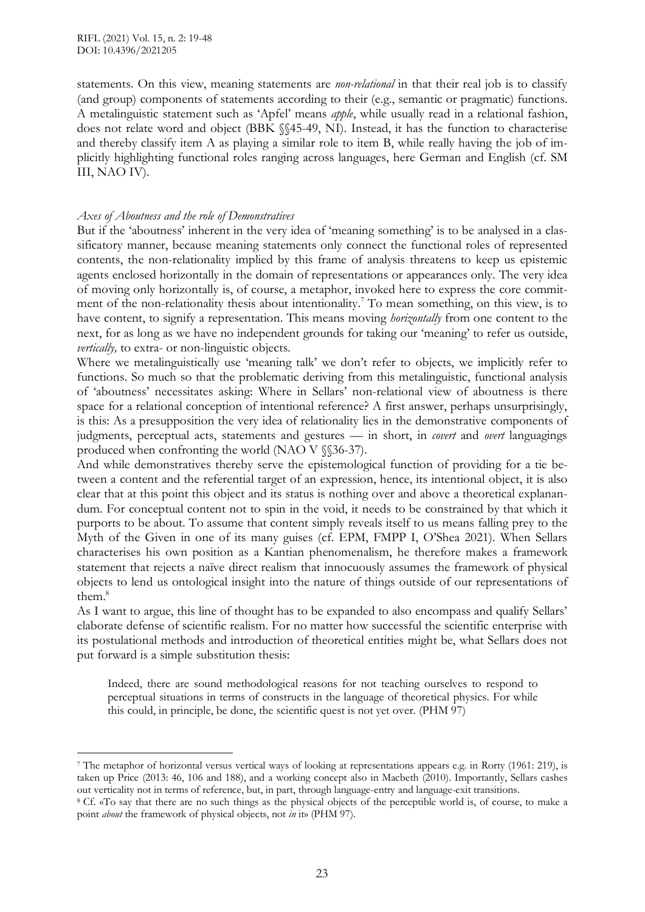statements. On this view, meaning statements are *non-relational* in that their real job is to classify (and group) components of statements according to their (e.g., semantic or pragmatic) functions. A metalinguistic statement such as 'Apfel' means *apple*, while usually read in a relational fashion, does not relate word and object (BBK §§45-49, NI). Instead, it has the function to characterise and thereby classify item A as playing a similar role to item B, while really having the job of implicitly highlighting functional roles ranging across languages, here German and English (cf. SM III, NAO IV).

#### *Axes of Aboutness and the role of Demonstratives*

But if the 'aboutness' inherent in the very idea of 'meaning something' is to be analysed in a classificatory manner, because meaning statements only connect the functional roles of represented contents, the non-relationality implied by this frame of analysis threatens to keep us epistemic agents enclosed horizontally in the domain of representations or appearances only. The very idea of moving only horizontally is, of course, a metaphor, invoked here to express the core commitment of the non-relationality thesis about intentionality. <sup>7</sup> To mean something, on this view, is to have content, to signify a representation. This means moving *horizontally* from one content to the next, for as long as we have no independent grounds for taking our 'meaning' to refer us outside, *vertically*, to extra- or non-linguistic objects.

Where we metalinguistically use 'meaning talk' we don't refer to objects, we implicitly refer to functions. So much so that the problematic deriving from this metalinguistic, functional analysis of 'aboutness' necessitates asking: Where in Sellars' non-relational view of aboutness is there space for a relational conception of intentional reference? A first answer, perhaps unsurprisingly, is this: As a presupposition the very idea of relationality lies in the demonstrative components of judgments, perceptual acts, statements and gestures — in short, in *covert* and *overt* languagings produced when confronting the world (NAO V §§36-37).

And while demonstratives thereby serve the epistemological function of providing for a tie between a content and the referential target of an expression, hence, its intentional object, it is also clear that at this point this object and its status is nothing over and above a theoretical explanandum. For conceptual content not to spin in the void, it needs to be constrained by that which it purports to be about. To assume that content simply reveals itself to us means falling prey to the Myth of the Given in one of its many guises (cf. EPM, FMPP I, O'Shea 2021). When Sellars characterises his own position as a Kantian phenomenalism, he therefore makes a framework statement that rejects a naïve direct realism that innocuously assumes the framework of physical objects to lend us ontological insight into the nature of things outside of our representations of them. 8

As I want to argue, this line of thought has to be expanded to also encompass and qualify Sellars' elaborate defense of scientific realism. For no matter how successful the scientific enterprise with its postulational methods and introduction of theoretical entities might be, what Sellars does not put forward is a simple substitution thesis:

Indeed, there are sound methodological reasons for not teaching ourselves to respond to perceptual situations in terms of constructs in the language of theoretical physics. For while this could, in principle, be done, the scientific quest is not yet over. (PHM 97)

<sup>7</sup> The metaphor of horizontal versus vertical ways of looking at representations appears e.g. in Rorty (1961: 219), is taken up Price (2013: 46, 106 and 188), and a working concept also in Macbeth (2010). Importantly, Sellars cashes out verticality not in terms of reference, but, in part, through language-entry and language-exit transitions.

<sup>8</sup> Cf. «To say that there are no such things as the physical objects of the perceptible world is, of course, to make a point *about* the framework of physical objects, not *in* it» (PHM 97).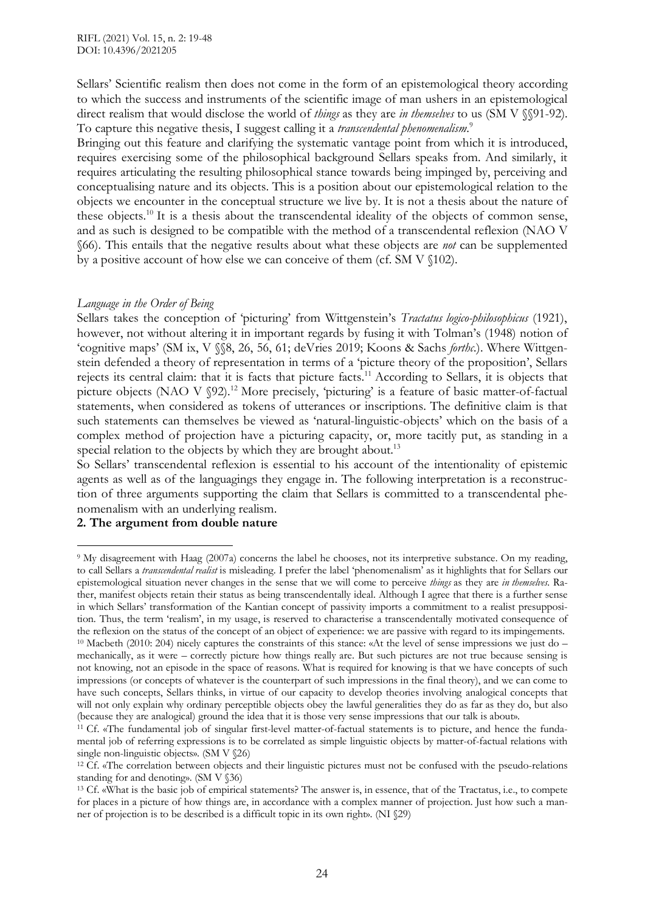Sellars' Scientific realism then does not come in the form of an epistemological theory according to which the success and instruments of the scientific image of man ushers in an epistemological direct realism that would disclose the world of *things* as they are *in themselves* to us (SM V §§91-92). To capture this negative thesis, I suggest calling it a *transcendental phenomenalism*. 9

Bringing out this feature and clarifying the systematic vantage point from which it is introduced, requires exercising some of the philosophical background Sellars speaks from. And similarly, it requires articulating the resulting philosophical stance towards being impinged by, perceiving and conceptualising nature and its objects. This is a position about our epistemological relation to the objects we encounter in the conceptual structure we live by. It is not a thesis about the nature of these objects.<sup>10</sup> It is a thesis about the transcendental ideality of the objects of common sense, and as such is designed to be compatible with the method of a transcendental reflexion (NAO V §66). This entails that the negative results about what these objects are *not* can be supplemented by a positive account of how else we can conceive of them (cf. SM V §102).

#### *Language in the Order of Being*

Sellars takes the conception of 'picturing' from Wittgenstein's *Tractatus logico-philosophicus* (1921), however, not without altering it in important regards by fusing it with Tolman's (1948) notion of 'cognitive maps' (SM ix, V §§8, 26, 56, 61; deVries 2019; Koons & Sachs *forthc.*). Where Wittgenstein defended a theory of representation in terms of a 'picture theory of the proposition', Sellars rejects its central claim: that it is facts that picture facts.<sup>11</sup> According to Sellars, it is objects that picture objects (NAO V §92).<sup>12</sup> More precisely, 'picturing' is a feature of basic matter-of-factual statements, when considered as tokens of utterances or inscriptions. The definitive claim is that such statements can themselves be viewed as 'natural-linguistic-objects' which on the basis of a complex method of projection have a picturing capacity, or, more tacitly put, as standing in a special relation to the objects by which they are brought about.<sup>13</sup>

So Sellars' transcendental reflexion is essential to his account of the intentionality of epistemic agents as well as of the languagings they engage in. The following interpretation is a reconstruction of three arguments supporting the claim that Sellars is committed to a transcendental phenomenalism with an underlying realism.

## **2. The argument from double nature**

 $\overline{a}$ 

<sup>9</sup> My disagreement with Haag (2007a) concerns the label he chooses, not its interpretive substance. On my reading, to call Sellars a *transcendental realist* is misleading. I prefer the label 'phenomenalism' as it highlights that for Sellars our epistemological situation never changes in the sense that we will come to perceive *things* as they are *in themselves*. Rather, manifest objects retain their status as being transcendentally ideal. Although I agree that there is a further sense in which Sellars' transformation of the Kantian concept of passivity imports a commitment to a realist presupposition. Thus, the term 'realism', in my usage, is reserved to characterise a transcendentally motivated consequence of the reflexion on the status of the concept of an object of experience: we are passive with regard to its impingements. <sup>10</sup> Macbeth (2010: 204) nicely captures the constraints of this stance: «At the level of sense impressions we just do – mechanically, as it were – correctly picture how things really are. But such pictures are not true because sensing is not knowing, not an episode in the space of reasons. What is required for knowing is that we have concepts of such impressions (or concepts of whatever is the counterpart of such impressions in the final theory), and we can come to have such concepts, Sellars thinks, in virtue of our capacity to develop theories involving analogical concepts that will not only explain why ordinary perceptible objects obey the lawful generalities they do as far as they do, but also (because they are analogical) ground the idea that it is those very sense impressions that our talk is about».

<sup>&</sup>lt;sup>11</sup> Cf. «The fundamental job of singular first-level matter-of-factual statements is to picture, and hence the fundamental job of referring expressions is to be correlated as simple linguistic objects by matter-of-factual relations with single non-linguistic objects». (SM V §26)

<sup>12</sup> Cf. «The correlation between objects and their linguistic pictures must not be confused with the pseudo-relations standing for and denoting». (SM V §36)

<sup>13</sup> Cf. «What is the basic job of empirical statements? The answer is, in essence, that of the Tractatus, i.e., to compete for places in a picture of how things are, in accordance with a complex manner of projection. Just how such a manner of projection is to be described is a difficult topic in its own right». (NI §29)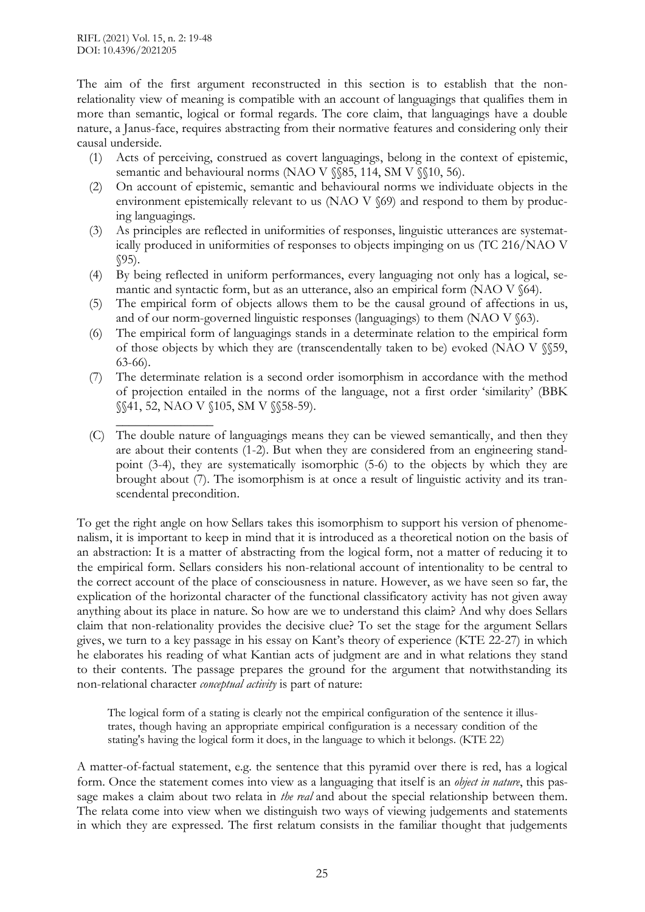The aim of the first argument reconstructed in this section is to establish that the nonrelationality view of meaning is compatible with an account of languagings that qualifies them in more than semantic, logical or formal regards. The core claim, that languagings have a double nature, a Janus-face, requires abstracting from their normative features and considering only their causal underside.

- (1) Acts of perceiving, construed as covert languagings, belong in the context of epistemic, semantic and behavioural norms (NAO V §§85, 114, SM V §§10, 56).
- (2) On account of epistemic, semantic and behavioural norms we individuate objects in the environment epistemically relevant to us (NAO V §69) and respond to them by producing languagings.
- (3) As principles are reflected in uniformities of responses, linguistic utterances are systematically produced in uniformities of responses to objects impinging on us (TC 216/NAO V  $$95$ ).
- (4) By being reflected in uniform performances, every languaging not only has a logical, semantic and syntactic form, but as an utterance, also an empirical form (NAO V §64).
- (5) The empirical form of objects allows them to be the causal ground of affections in us, and of our norm-governed linguistic responses (languagings) to them (NAO V  $\S 63$ ).
- (6) The empirical form of languagings stands in a determinate relation to the empirical form of those objects by which they are (transcendentally taken to be) evoked (NAO V §§59, 63-66).
- (7) The determinate relation is a second order isomorphism in accordance with the method of projection entailed in the norms of the language, not a first order 'similarity' (BBK §§41, 52, NAO V §105, SM V §§58-59).
- $\overline{\phantom{a}}$  , where  $\overline{\phantom{a}}$ (C) The double nature of languagings means they can be viewed semantically, and then they are about their contents (1-2). But when they are considered from an engineering standpoint (3-4), they are systematically isomorphic (5-6) to the objects by which they are brought about (7). The isomorphism is at once a result of linguistic activity and its transcendental precondition.

To get the right angle on how Sellars takes this isomorphism to support his version of phenomenalism, it is important to keep in mind that it is introduced as a theoretical notion on the basis of an abstraction: It is a matter of abstracting from the logical form, not a matter of reducing it to the empirical form. Sellars considers his non-relational account of intentionality to be central to the correct account of the place of consciousness in nature. However, as we have seen so far, the explication of the horizontal character of the functional classificatory activity has not given away anything about its place in nature. So how are we to understand this claim? And why does Sellars claim that non-relationality provides the decisive clue? To set the stage for the argument Sellars gives, we turn to a key passage in his essay on Kant's theory of experience (KTE 22-27) in which he elaborates his reading of what Kantian acts of judgment are and in what relations they stand to their contents. The passage prepares the ground for the argument that notwithstanding its non-relational character *conceptual activity* is part of nature:

The logical form of a stating is clearly not the empirical configuration of the sentence it illustrates, though having an appropriate empirical configuration is a necessary condition of the stating's having the logical form it does, in the language to which it belongs. (KTE 22)

A matter-of-factual statement, e.g. the sentence that this pyramid over there is red, has a logical form. Once the statement comes into view as a languaging that itself is an *object in nature*, this passage makes a claim about two relata in *the real* and about the special relationship between them. The relata come into view when we distinguish two ways of viewing judgements and statements in which they are expressed. The first relatum consists in the familiar thought that judgements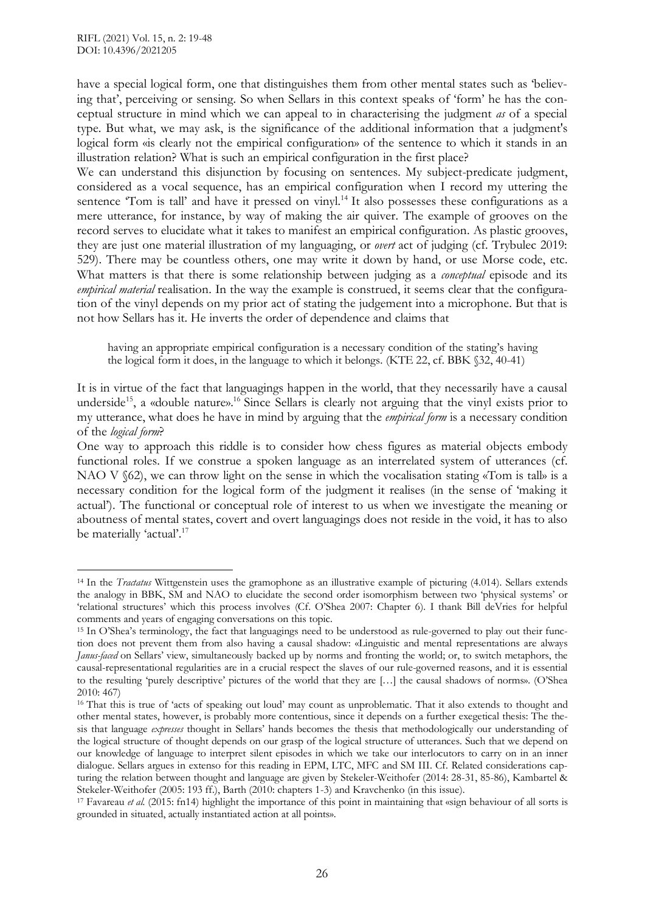have a special logical form, one that distinguishes them from other mental states such as 'believing that', perceiving or sensing. So when Sellars in this context speaks of 'form' he has the conceptual structure in mind which we can appeal to in characterising the judgment *as* of a special type. But what, we may ask, is the significance of the additional information that a judgment's logical form «is clearly not the empirical configuration» of the sentence to which it stands in an illustration relation? What is such an empirical configuration in the first place?

We can understand this disjunction by focusing on sentences. My subject-predicate judgment, considered as a vocal sequence, has an empirical configuration when I record my uttering the sentence 'Tom is tall' and have it pressed on vinyl.<sup>14</sup> It also possesses these configurations as a mere utterance, for instance, by way of making the air quiver. The example of grooves on the record serves to elucidate what it takes to manifest an empirical configuration. As plastic grooves, they are just one material illustration of my languaging, or *overt* act of judging (cf. Trybulec 2019: 529). There may be countless others, one may write it down by hand, or use Morse code, etc. What matters is that there is some relationship between judging as a *conceptual* episode and its *empirical material* realisation. In the way the example is construed, it seems clear that the configuration of the vinyl depends on my prior act of stating the judgement into a microphone. But that is not how Sellars has it. He inverts the order of dependence and claims that

having an appropriate empirical configuration is a necessary condition of the stating's having the logical form it does, in the language to which it belongs. (KTE 22, cf. BBK §32, 40-41)

One way to approach this riddle is to consider how chess figures as material objects embody functional roles. If we construe a spoken language as an interrelated system of utterances (cf. NAO V  $62$ ), we can throw light on the sense in which the vocalisation stating «Tom is tall» is a necessary condition for the logical form of the judgment it realises (in the sense of 'making it actual'). The functional or conceptual role of interest to us when we investigate the meaning or aboutness of mental states, covert and overt languagings does not reside in the void, it has to also be materially 'actual'.<sup>17</sup>

It is in virtue of the fact that languagings happen in the world, that they necessarily have a causal underside<sup>15</sup>, a «double nature».<sup>16</sup> Since Sellars is clearly not arguing that the vinyl exists prior to my utterance, what does he have in mind by arguing that the *empirical form* is a necessary condition of the *logical form*?

<sup>14</sup> In the *Tractatus* Wittgenstein uses the gramophone as an illustrative example of picturing (4.014). Sellars extends the analogy in BBK, SM and NAO to elucidate the second order isomorphism between two 'physical systems' or 'relational structures' which this process involves (Cf. O'Shea 2007: Chapter 6). I thank Bill deVries for helpful comments and years of engaging conversations on this topic.

<sup>15</sup> In O'Shea's terminology, the fact that languagings need to be understood as rule-governed to play out their function does not prevent them from also having a causal shadow: «Linguistic and mental representations are always *Janus-faced* on Sellars' view, simultaneously backed up by norms and fronting the world; or, to switch metaphors, the causal-representational regularities are in a crucial respect the slaves of our rule-governed reasons, and it is essential to the resulting 'purely descriptive' pictures of the world that they are […] the causal shadows of norms». (O'Shea 2010: 467)

<sup>&</sup>lt;sup>16</sup> That this is true of 'acts of speaking out loud' may count as unproblematic. That it also extends to thought and other mental states, however, is probably more contentious, since it depends on a further exegetical thesis: The thesis that language *expresses* thought in Sellars' hands becomes the thesis that methodologically our understanding of the logical structure of thought depends on our grasp of the logical structure of utterances. Such that we depend on our knowledge of language to interpret silent episodes in which we take our interlocutors to carry on in an inner dialogue. Sellars argues in extenso for this reading in EPM, LTC, MFC and SM III. Cf. Related considerations capturing the relation between thought and language are given by Stekeler-Weithofer (2014: 28-31, 85-86), Kambartel & Stekeler-Weithofer (2005: 193 ff.), Barth (2010: chapters 1-3) and Kravchenko (in this issue).

<sup>17</sup> Favareau *et al.* (2015: fn14) highlight the importance of this point in maintaining that «sign behaviour of all sorts is grounded in situated, actually instantiated action at all points».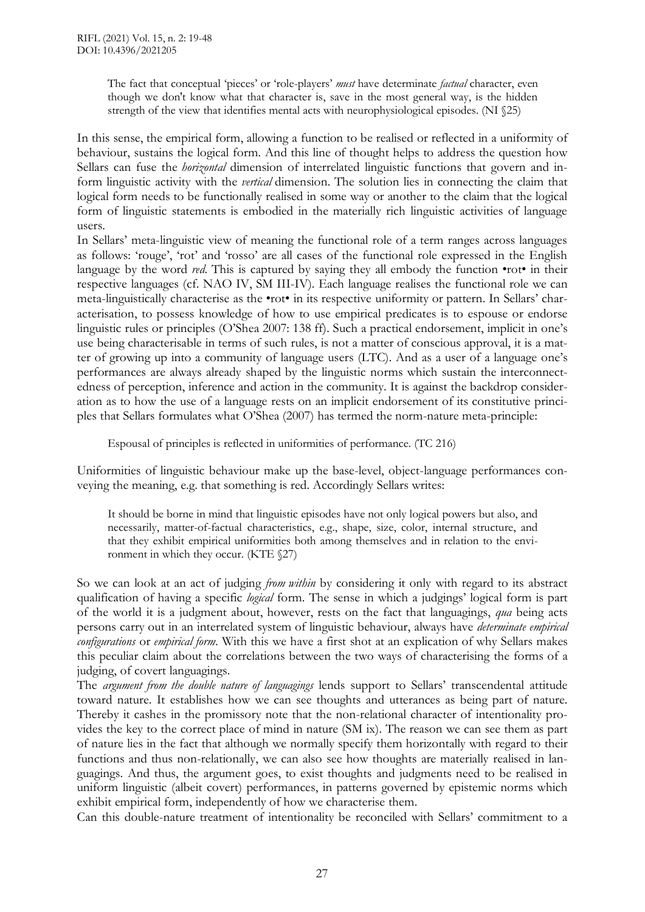The fact that conceptual 'pieces' or 'role-players' *must* have determinate *factual* character, even though we don't know what that character is, save in the most general way, is the hidden strength of the view that identifies mental acts with neurophysiological episodes. (NI §25)

In this sense, the empirical form, allowing a function to be realised or reflected in a uniformity of behaviour, sustains the logical form. And this line of thought helps to address the question how Sellars can fuse the *horizontal* dimension of interrelated linguistic functions that govern and inform linguistic activity with the *vertical* dimension. The solution lies in connecting the claim that logical form needs to be functionally realised in some way or another to the claim that the logical form of linguistic statements is embodied in the materially rich linguistic activities of language users.

In Sellars' meta-linguistic view of meaning the functional role of a term ranges across languages as follows: 'rouge', 'rot' and 'rosso' are all cases of the functional role expressed in the English language by the word *red*. This is captured by saying they all embody the function •rot• in their respective languages (cf. NAO IV, SM III-IV). Each language realises the functional role we can meta-linguistically characterise as the •rot• in its respective uniformity or pattern. In Sellars' characterisation, to possess knowledge of how to use empirical predicates is to espouse or endorse linguistic rules or principles (O'Shea 2007: 138 ff). Such a practical endorsement, implicit in one's use being characterisable in terms of such rules, is not a matter of conscious approval, it is a matter of growing up into a community of language users (LTC). And as a user of a language one's performances are always already shaped by the linguistic norms which sustain the interconnectedness of perception, inference and action in the community. It is against the backdrop consideration as to how the use of a language rests on an implicit endorsement of its constitutive principles that Sellars formulates what O'Shea (2007) has termed the norm-nature meta-principle:

Espousal of principles is reflected in uniformities of performance. (TC 216)

Uniformities of linguistic behaviour make up the base-level, object-language performances conveying the meaning, e.g. that something is red. Accordingly Sellars writes:

It should be borne in mind that linguistic episodes have not only logical powers but also, and necessarily, matter-of-factual characteristics, e.g., shape, size, color, internal structure, and that they exhibit empirical uniformities both among themselves and in relation to the environment in which they occur. (KTE §27)

So we can look at an act of judging *from within* by considering it only with regard to its abstract qualification of having a specific *logical* form. The sense in which a judgings' logical form is part of the world it is a judgment about, however, rests on the fact that languagings, *qua* being acts persons carry out in an interrelated system of linguistic behaviour, always have *determinate empirical configurations* or *empirical form*. With this we have a first shot at an explication of why Sellars makes this peculiar claim about the correlations between the two ways of characterising the forms of a judging, of covert languagings.

The *argument from the double nature of languagings* lends support to Sellars' transcendental attitude toward nature. It establishes how we can see thoughts and utterances as being part of nature. Thereby it cashes in the promissory note that the non-relational character of intentionality provides the key to the correct place of mind in nature (SM ix). The reason we can see them as part of nature lies in the fact that although we normally specify them horizontally with regard to their functions and thus non-relationally, we can also see how thoughts are materially realised in languagings. And thus, the argument goes, to exist thoughts and judgments need to be realised in uniform linguistic (albeit covert) performances, in patterns governed by epistemic norms which exhibit empirical form, independently of how we characterise them.

Can this double-nature treatment of intentionality be reconciled with Sellars' commitment to a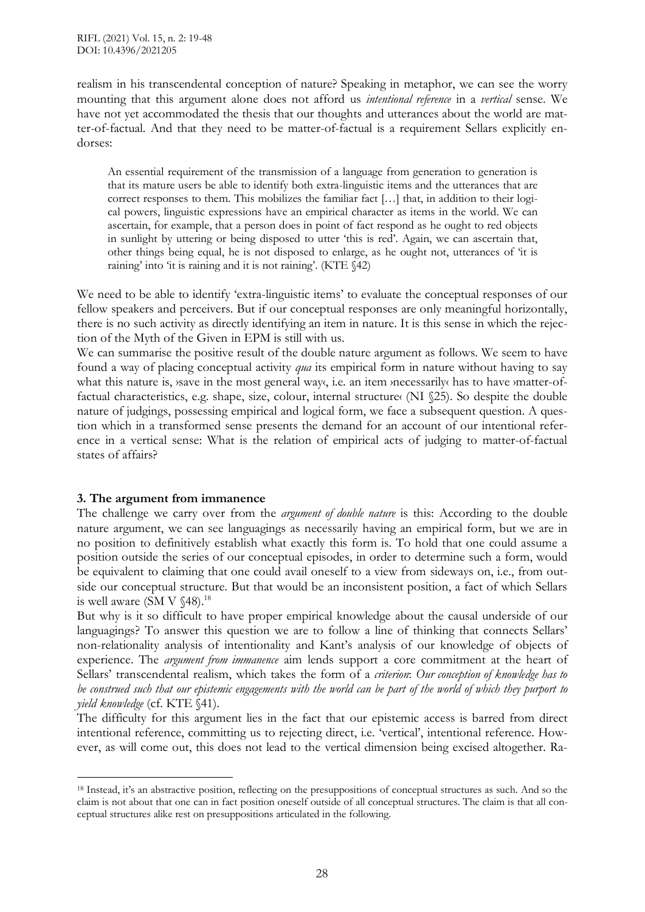realism in his transcendental conception of nature? Speaking in metaphor, we can see the worry mounting that this argument alone does not afford us *intentional reference* in a *vertical* sense. We have not yet accommodated the thesis that our thoughts and utterances about the world are matter-of-factual. And that they need to be matter-of-factual is a requirement Sellars explicitly endorses:

An essential requirement of the transmission of a language from generation to generation is that its mature users be able to identify both extra-linguistic items and the utterances that are correct responses to them. This mobilizes the familiar fact […] that, in addition to their logical powers, linguistic expressions have an empirical character as items in the world. We can ascertain, for example, that a person does in point of fact respond as he ought to red objects in sunlight by uttering or being disposed to utter 'this is red'. Again, we can ascertain that, other things being equal, he is not disposed to enlarge, as he ought not, utterances of 'it is raining' into 'it is raining and it is not raining'. (KTE §42)

We need to be able to identify 'extra-linguistic items' to evaluate the conceptual responses of our fellow speakers and perceivers. But if our conceptual responses are only meaningful horizontally, there is no such activity as directly identifying an item in nature. It is this sense in which the rejection of the Myth of the Given in EPM is still with us.

We can summarise the positive result of the double nature argument as follows. We seem to have found a way of placing conceptual activity *qua* its empirical form in nature without having to say what this nature is, *save* in the most general way, i.e. an item *necessarily* has to have *matter-of*factual characteristics, e.g. shape, size, colour, internal structure (NI §25). So despite the double nature of judgings, possessing empirical and logical form, we face a subsequent question. A question which in a transformed sense presents the demand for an account of our intentional reference in a vertical sense: What is the relation of empirical acts of judging to matter-of-factual states of affairs?

## **3. The argument from immanence**

 $\overline{a}$ 

The challenge we carry over from the *argument of double nature* is this: According to the double nature argument, we can see languagings as necessarily having an empirical form, but we are in no position to definitively establish what exactly this form is. To hold that one could assume a position outside the series of our conceptual episodes, in order to determine such a form, would be equivalent to claiming that one could avail oneself to a view from sideways on, i.e., from outside our conceptual structure. But that would be an inconsistent position, a fact of which Sellars is well aware (SM V  $$48$ ).<sup>18</sup>

But why is it so difficult to have proper empirical knowledge about the causal underside of our languagings? To answer this question we are to follow a line of thinking that connects Sellars' non-relationality analysis of intentionality and Kant's analysis of our knowledge of objects of experience. The *argument from immanence* aim lends support a core commitment at the heart of Sellars' transcendental realism, which takes the form of a *criterion*: *Our conception of knowledge has to* be construed such that our epistemic engagements with the world can be part of the world of which they purport to *yield knowledge* (cf. KTE §41).

The difficulty for this argument lies in the fact that our epistemic access is barred from direct intentional reference, committing us to rejecting direct, i.e. 'vertical', intentional reference. However, as will come out, this does not lead to the vertical dimension being excised altogether. Ra-

<sup>18</sup> Instead, it's an abstractive position, reflecting on the presuppositions of conceptual structures as such. And so the claim is not about that one can in fact position oneself outside of all conceptual structures. The claim is that all conceptual structures alike rest on presuppositions articulated in the following.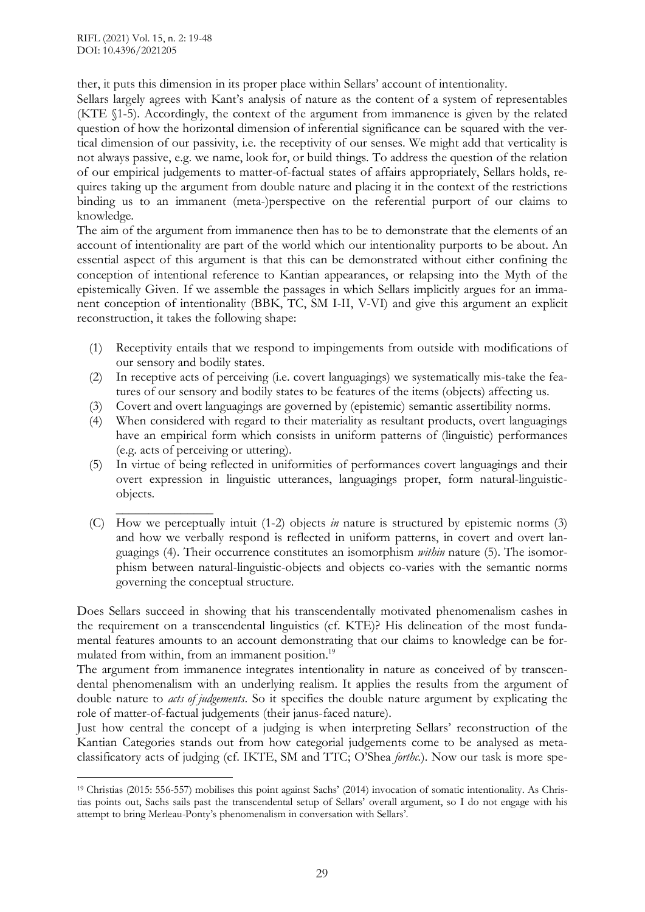ther, it puts this dimension in its proper place within Sellars' account of intentionality.

Sellars largely agrees with Kant's analysis of nature as the content of a system of representables (KTE §1-5). Accordingly, the context of the argument from immanence is given by the related question of how the horizontal dimension of inferential significance can be squared with the vertical dimension of our passivity, i.e. the receptivity of our senses. We might add that verticality is not always passive, e.g. we name, look for, or build things. To address the question of the relation of our empirical judgements to matter-of-factual states of affairs appropriately, Sellars holds, requires taking up the argument from double nature and placing it in the context of the restrictions binding us to an immanent (meta-)perspective on the referential purport of our claims to knowledge.

The aim of the argument from immanence then has to be to demonstrate that the elements of an account of intentionality are part of the world which our intentionality purports to be about. An essential aspect of this argument is that this can be demonstrated without either confining the conception of intentional reference to Kantian appearances, or relapsing into the Myth of the epistemically Given. If we assemble the passages in which Sellars implicitly argues for an immanent conception of intentionality (BBK, TC, SM I-II, V-VI) and give this argument an explicit reconstruction, it takes the following shape:

- (1) Receptivity entails that we respond to impingements from outside with modifications of our sensory and bodily states.
- (2) In receptive acts of perceiving (i.e. covert languagings) we systematically mis-take the features of our sensory and bodily states to be features of the items (objects) affecting us.
- (3) Covert and overt languagings are governed by (epistemic) semantic assertibility norms.
- (4) When considered with regard to their materiality as resultant products, overt languagings have an empirical form which consists in uniform patterns of (linguistic) performances (e.g. acts of perceiving or uttering).
- (5) In virtue of being reflected in uniformities of performances covert languagings and their overt expression in linguistic utterances, languagings proper, form natural-linguisticobjects.
- $\overline{\phantom{a}}$  , where  $\overline{\phantom{a}}$ (C) How we perceptually intuit (1-2) objects *in* nature is structured by epistemic norms (3) and how we verbally respond is reflected in uniform patterns, in covert and overt languagings (4). Their occurrence constitutes an isomorphism *within* nature (5). The isomorphism between natural-linguistic-objects and objects co-varies with the semantic norms governing the conceptual structure.

Does Sellars succeed in showing that his transcendentally motivated phenomenalism cashes in the requirement on a transcendental linguistics (cf. KTE)? His delineation of the most fundamental features amounts to an account demonstrating that our claims to knowledge can be formulated from within, from an immanent position.<sup>19</sup>

The argument from immanence integrates intentionality in nature as conceived of by transcendental phenomenalism with an underlying realism. It applies the results from the argument of double nature to *acts of judgements*. So it specifies the double nature argument by explicating the role of matter-of-factual judgements (their janus-faced nature).

Just how central the concept of a judging is when interpreting Sellars' reconstruction of the Kantian Categories stands out from how categorial judgements come to be analysed as metaclassificatory acts of judging (cf. IKTE, SM and TTC; O'Shea *forthc.*). Now our task is more spe-

<sup>19</sup> Christias (2015: 556-557) mobilises this point against Sachs' (2014) invocation of somatic intentionality. As Christias points out, Sachs sails past the transcendental setup of Sellars' overall argument, so I do not engage with his attempt to bring Merleau-Ponty's phenomenalism in conversation with Sellars'.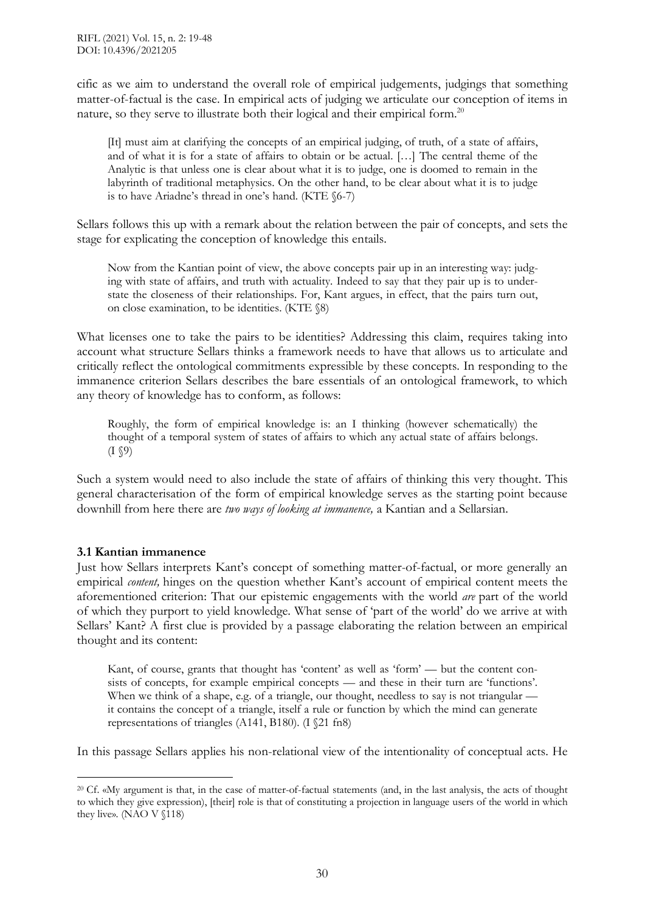cific as we aim to understand the overall role of empirical judgements, judgings that something matter-of-factual is the case. In empirical acts of judging we articulate our conception of items in nature, so they serve to illustrate both their logical and their empirical form.<sup>20</sup>

[It] must aim at clarifying the concepts of an empirical judging, of truth, of a state of affairs, and of what it is for a state of affairs to obtain or be actual. […] The central theme of the Analytic is that unless one is clear about what it is to judge, one is doomed to remain in the labyrinth of traditional metaphysics. On the other hand, to be clear about what it is to judge is to have Ariadne's thread in one's hand. (KTE §6-7)

Sellars follows this up with a remark about the relation between the pair of concepts, and sets the stage for explicating the conception of knowledge this entails.

Now from the Kantian point of view, the above concepts pair up in an interesting way: judging with state of affairs, and truth with actuality. Indeed to say that they pair up is to understate the closeness of their relationships. For, Kant argues, in effect, that the pairs turn out, on close examination, to be identities. (KTE §8)

What licenses one to take the pairs to be identities? Addressing this claim, requires taking into account what structure Sellars thinks a framework needs to have that allows us to articulate and critically reflect the ontological commitments expressible by these concepts. In responding to the immanence criterion Sellars describes the bare essentials of an ontological framework, to which any theory of knowledge has to conform, as follows:

Roughly, the form of empirical knowledge is: an I thinking (however schematically) the thought of a temporal system of states of affairs to which any actual state of affairs belongs.  $(I \$ 

Such a system would need to also include the state of affairs of thinking this very thought. This general characterisation of the form of empirical knowledge serves as the starting point because downhill from here there are *two ways of looking at immanence,* a Kantian and a Sellarsian.

## **3.1 Kantian immanence**

 $\overline{a}$ 

Just how Sellars interprets Kant's concept of something matter-of-factual, or more generally an empirical *content,* hinges on the question whether Kant's account of empirical content meets the aforementioned criterion: That our epistemic engagements with the world *are* part of the world of which they purport to yield knowledge. What sense of 'part of the world' do we arrive at with Sellars' Kant? A first clue is provided by a passage elaborating the relation between an empirical thought and its content:

Kant, of course, grants that thought has 'content' as well as 'form' — but the content consists of concepts, for example empirical concepts — and these in their turn are 'functions'. When we think of a shape, e.g. of a triangle, our thought, needless to say is not triangular it contains the concept of a triangle, itself a rule or function by which the mind can generate representations of triangles (A141, B180). (I §21 fn8)

In this passage Sellars applies his non-relational view of the intentionality of conceptual acts. He

<sup>&</sup>lt;sup>20</sup> Cf. «My argument is that, in the case of matter-of-factual statements (and, in the last analysis, the acts of thought to which they give expression), [their] role is that of constituting a projection in language users of the world in which they live». (NAO V §118)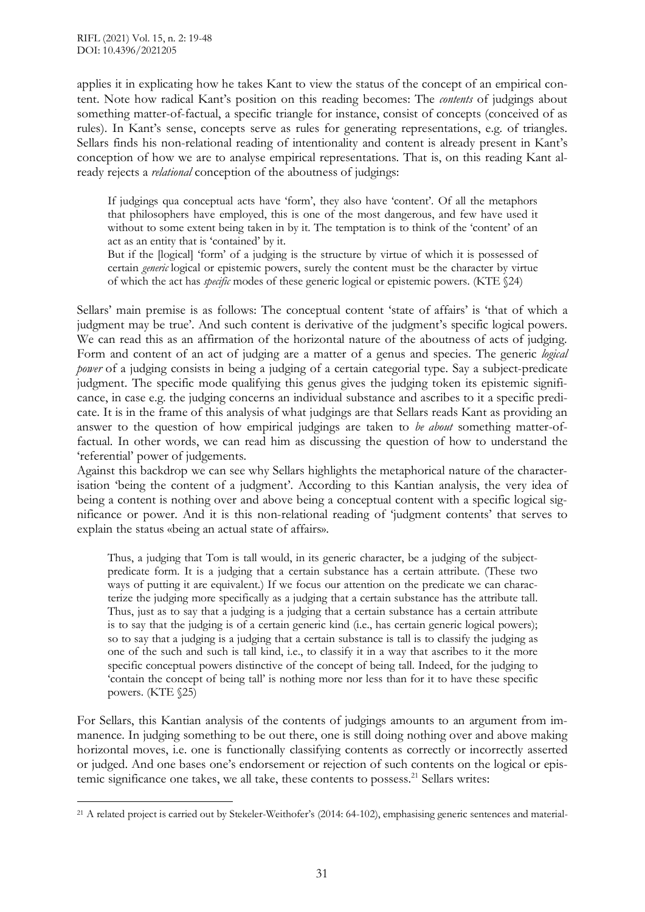applies it in explicating how he takes Kant to view the status of the concept of an empirical content. Note how radical Kant's position on this reading becomes: The *contents* of judgings about something matter-of-factual, a specific triangle for instance, consist of concepts (conceived of as rules). In Kant's sense, concepts serve as rules for generating representations, e.g. of triangles. Sellars finds his non-relational reading of intentionality and content is already present in Kant's conception of how we are to analyse empirical representations. That is, on this reading Kant already rejects a *relational* conception of the aboutness of judgings:

If judgings qua conceptual acts have 'form', they also have 'content'. Of all the metaphors that philosophers have employed, this is one of the most dangerous, and few have used it without to some extent being taken in by it. The temptation is to think of the 'content' of an act as an entity that is 'contained' by it.

But if the [logical] 'form' of a judging is the structure by virtue of which it is possessed of certain *generic* logical or epistemic powers, surely the content must be the character by virtue of which the act has *specific* modes of these generic logical or epistemic powers. (KTE §24)

Sellars' main premise is as follows: The conceptual content 'state of affairs' is 'that of which a judgment may be true'. And such content is derivative of the judgment's specific logical powers. We can read this as an affirmation of the horizontal nature of the aboutness of acts of judging. Form and content of an act of judging are a matter of a genus and species. The generic *logical power* of a judging consists in being a judging of a certain categorial type. Say a subject-predicate judgment. The specific mode qualifying this genus gives the judging token its epistemic significance, in case e.g. the judging concerns an individual substance and ascribes to it a specific predicate. It is in the frame of this analysis of what judgings are that Sellars reads Kant as providing an answer to the question of how empirical judgings are taken to *be about* something matter-offactual. In other words, we can read him as discussing the question of how to understand the 'referential' power of judgements.

Against this backdrop we can see why Sellars highlights the metaphorical nature of the characterisation 'being the content of a judgment'. According to this Kantian analysis, the very idea of being a content is nothing over and above being a conceptual content with a specific logical significance or power. And it is this non-relational reading of 'judgment contents' that serves to explain the status «being an actual state of affairs».

Thus, a judging that Tom is tall would, in its generic character, be a judging of the subjectpredicate form. It is a judging that a certain substance has a certain attribute. (These two ways of putting it are equivalent.) If we focus our attention on the predicate we can characterize the judging more specifically as a judging that a certain substance has the attribute tall. Thus, just as to say that a judging is a judging that a certain substance has a certain attribute is to say that the judging is of a certain generic kind (i.e., has certain generic logical powers); so to say that a judging is a judging that a certain substance is tall is to classify the judging as one of the such and such is tall kind, i.e., to classify it in a way that ascribes to it the more specific conceptual powers distinctive of the concept of being tall. Indeed, for the judging to 'contain the concept of being tall' is nothing more nor less than for it to have these specific powers. (KTE §25)

For Sellars, this Kantian analysis of the contents of judgings amounts to an argument from immanence. In judging something to be out there, one is still doing nothing over and above making horizontal moves, i.e. one is functionally classifying contents as correctly or incorrectly asserted or judged. And one bases one's endorsement or rejection of such contents on the logical or epistemic significance one takes, we all take, these contents to possess.<sup>21</sup> Sellars writes:

 $\overline{a}$ <sup>21</sup> A related project is carried out by Stekeler-Weithofer's (2014: 64-102), emphasising generic sentences and material-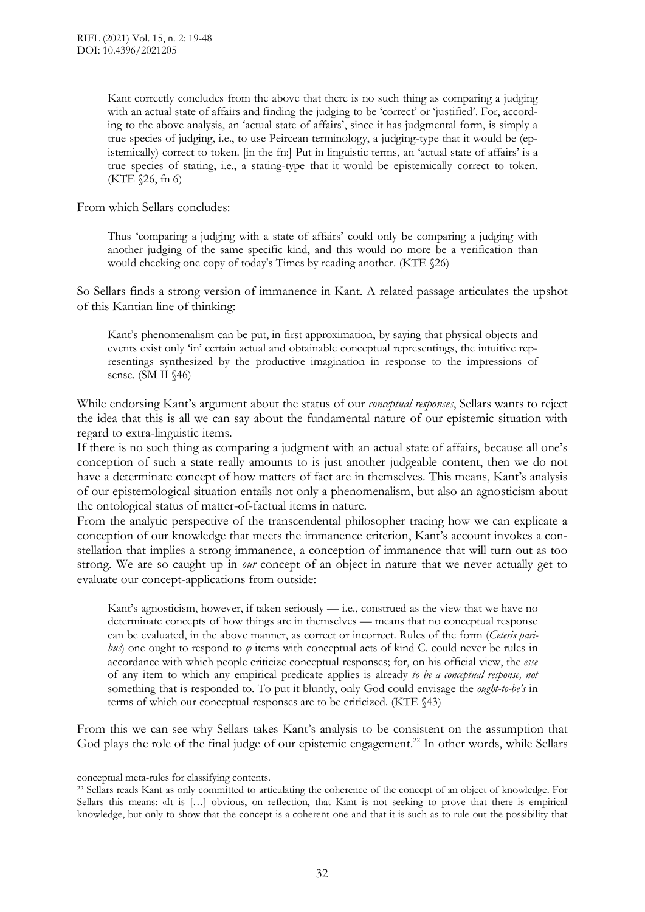Kant correctly concludes from the above that there is no such thing as comparing a judging with an actual state of affairs and finding the judging to be 'correct' or 'justified'. For, according to the above analysis, an 'actual state of affairs', since it has judgmental form, is simply a true species of judging, i.e., to use Peircean terminology, a judging-type that it would be (epistemically) correct to token. [in the fn:] Put in linguistic terms, an 'actual state of affairs' is a true species of stating, i.e., a stating-type that it would be epistemically correct to token. (KTE §26, fn 6)

From which Sellars concludes:

Thus 'comparing a judging with a state of affairs' could only be comparing a judging with another judging of the same specific kind, and this would no more be a verification than would checking one copy of today's Times by reading another. (KTE §26)

So Sellars finds a strong version of immanence in Kant. A related passage articulates the upshot of this Kantian line of thinking:

Kant's phenomenalism can be put, in first approximation, by saying that physical objects and events exist only 'in' certain actual and obtainable conceptual representings, the intuitive representings synthesized by the productive imagination in response to the impressions of sense. (SM II §46)

While endorsing Kant's argument about the status of our *conceptual responses*, Sellars wants to reject the idea that this is all we can say about the fundamental nature of our epistemic situation with regard to extra-linguistic items.

If there is no such thing as comparing a judgment with an actual state of affairs, because all one's conception of such a state really amounts to is just another judgeable content, then we do not have a determinate concept of how matters of fact are in themselves. This means, Kant's analysis of our epistemological situation entails not only a phenomenalism, but also an agnosticism about the ontological status of matter-of-factual items in nature.

From the analytic perspective of the transcendental philosopher tracing how we can explicate a conception of our knowledge that meets the immanence criterion, Kant's account invokes a constellation that implies a strong immanence, a conception of immanence that will turn out as too strong. We are so caught up in *our* concept of an object in nature that we never actually get to evaluate our concept-applications from outside:

Kant's agnosticism, however, if taken seriously — i.e., construed as the view that we have no determinate concepts of how things are in themselves — means that no conceptual response can be evaluated, in the above manner, as correct or incorrect. Rules of the form (*Ceteris paribus*) one ought to respond to *φ* items with conceptual acts of kind C. could never be rules in accordance with which people criticize conceptual responses; for, on his official view, the *esse* of any item to which any empirical predicate applies is already *to be a conceptual response, not* something that is responded to. To put it bluntly, only God could envisage the *ought-to-be's* in terms of which our conceptual responses are to be criticized. (KTE §43)

From this we can see why Sellars takes Kant's analysis to be consistent on the assumption that God plays the role of the final judge of our epistemic engagement.<sup>22</sup> In other words, while Sellars

 $\overline{a}$ 

conceptual meta-rules for classifying contents.

<sup>22</sup> Sellars reads Kant as only committed to articulating the coherence of the concept of an object of knowledge. For Sellars this means: «It is […] obvious, on reflection, that Kant is not seeking to prove that there is empirical knowledge, but only to show that the concept is a coherent one and that it is such as to rule out the possibility that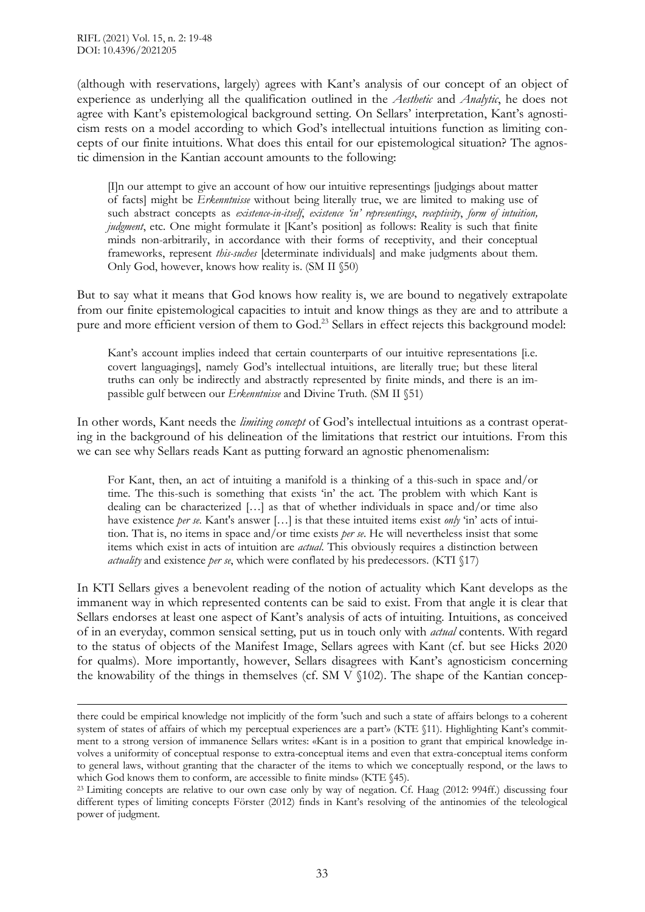(although with reservations, largely) agrees with Kant's analysis of our concept of an object of experience as underlying all the qualification outlined in the *Aesthetic* and *Analytic*, he does not agree with Kant's epistemological background setting. On Sellars' interpretation, Kant's agnosticism rests on a model according to which God's intellectual intuitions function as limiting concepts of our finite intuitions. What does this entail for our epistemological situation? The agnostic dimension in the Kantian account amounts to the following:

[I]n our attempt to give an account of how our intuitive representings [judgings about matter of facts] might be *Erkenntnisse* without being literally true, we are limited to making use of such abstract concepts as *existence-in-itself*, *existence 'in' representings*, *receptivity*, *form of intuition, judgment*, etc. One might formulate it [Kant's position] as follows: Reality is such that finite minds non-arbitrarily, in accordance with their forms of receptivity, and their conceptual frameworks, represent *this-suches* [determinate individuals] and make judgments about them. Only God, however, knows how reality is. (SM II §50)

But to say what it means that God knows how reality is, we are bound to negatively extrapolate from our finite epistemological capacities to intuit and know things as they are and to attribute a pure and more efficient version of them to God.<sup>23</sup> Sellars in effect rejects this background model:

Kant's account implies indeed that certain counterparts of our intuitive representations [i.e. covert languagings], namely God's intellectual intuitions, are literally true; but these literal truths can only be indirectly and abstractly represented by finite minds, and there is an impassible gulf between our *Erkenntnisse* and Divine Truth. (SM II §51)

In other words, Kant needs the *limiting concept* of God's intellectual intuitions as a contrast operating in the background of his delineation of the limitations that restrict our intuitions. From this we can see why Sellars reads Kant as putting forward an agnostic phenomenalism:

For Kant, then, an act of intuiting a manifold is a thinking of a this-such in space and/or time. The this-such is something that exists 'in' the act. The problem with which Kant is dealing can be characterized […] as that of whether individuals in space and/or time also have existence *per se*. Kant's answer [...] is that these intuited items exist *only* 'in' acts of intuition. That is, no items in space and/or time exists *per se*. He will nevertheless insist that some items which exist in acts of intuition are *actual*. This obviously requires a distinction between *actuality* and existence *per se*, which were conflated by his predecessors. (KTI §17)

In KTI Sellars gives a benevolent reading of the notion of actuality which Kant develops as the immanent way in which represented contents can be said to exist. From that angle it is clear that Sellars endorses at least one aspect of Kant's analysis of acts of intuiting. Intuitions, as conceived of in an everyday, common sensical setting, put us in touch only with *actual* contents. With regard to the status of objects of the Manifest Image, Sellars agrees with Kant (cf. but see Hicks 2020 for qualms). More importantly, however, Sellars disagrees with Kant's agnosticism concerning the knowability of the things in themselves (cf. SM V §102). The shape of the Kantian concep-

there could be empirical knowledge not implicitly of the form 'such and such a state of affairs belongs to a coherent system of states of affairs of which my perceptual experiences are a part'» (KTE §11). Highlighting Kant's commitment to a strong version of immanence Sellars writes: «Kant is in a position to grant that empirical knowledge involves a uniformity of conceptual response to extra-conceptual items and even that extra-conceptual items conform to general laws, without granting that the character of the items to which we conceptually respond, or the laws to which God knows them to conform, are accessible to finite minds» (KTE  $\S45$ ).

<sup>&</sup>lt;sup>23</sup> Limiting concepts are relative to our own case only by way of negation. Cf. Haag (2012: 994ff.) discussing four different types of limiting concepts Förster (2012) finds in Kant's resolving of the antinomies of the teleological power of judgment.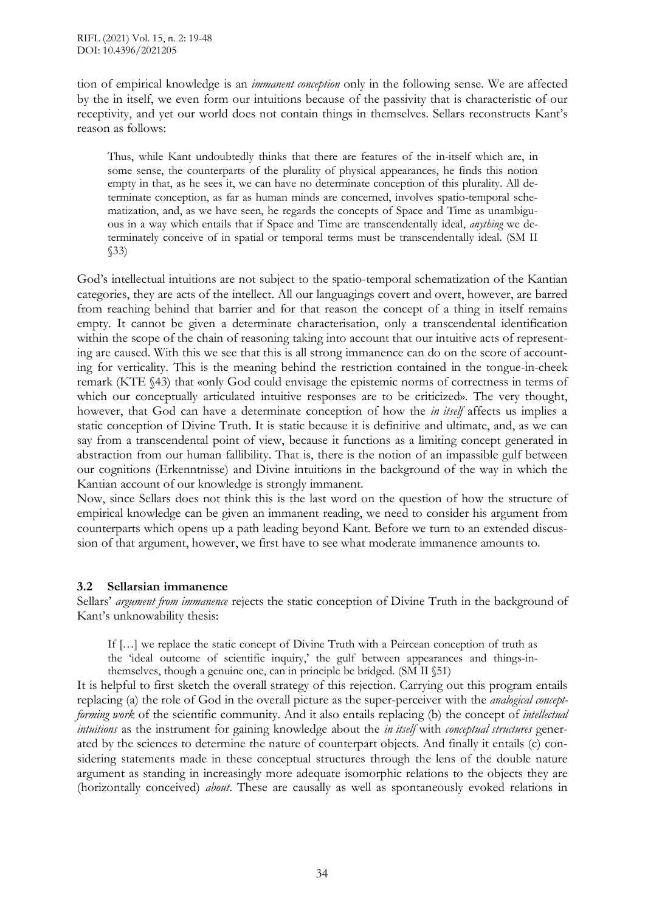tion of empirical knowledge is an *immanent conception* only in the following sense. We are affected by the in itself, we even form our intuitions because of the passivity that is characteristic of our receptivity, and yet our world does not contain things in themselves. Sellars reconstructs Kant's reason as follows:

Thus, while Kant undoubtedly thinks that there are features of the in-itself which are, in some sense, the counterparts of the plurality of physical appearances, he finds this notion empty in that, as he sees it, we can have no determinate conception of this plurality. All determinate conception, as far as human minds are concerned, involves spatio-temporal schematization, and, as we have seen, he regards the concepts of Space and Time as unambiguous in a way which entails that if Space and Time are transcendentally ideal, *anything* we determinately conceive of in spatial or temporal terms must be transcendentally ideal. (SM II §33)

God's intellectual intuitions are not subject to the spatio-temporal schematization of the Kantian categories, they are acts of the intellect. All our languagings covert and overt, however, are barred from reaching behind that barrier and for that reason the concept of a thing in itself remains empty. It cannot be given a determinate characterisation, only a transcendental identification within the scope of the chain of reasoning taking into account that our intuitive acts of representing are caused. With this we see that this is all strong immanence can do on the score of accounting for verticality. This is the meaning behind the restriction contained in the tongue-in-cheek remark (KTE §43) that «only God could envisage the epistemic norms of correctness in terms of which our conceptually articulated intuitive responses are to be criticized». The very thought, however, that God can have a determinate conception of how the *in itself* affects us implies a static conception of Divine Truth. It is static because it is definitive and ultimate, and, as we can say from a transcendental point of view, because it functions as a limiting concept generated in abstraction from our human fallibility. That is, there is the notion of an impassible gulf between our cognitions (Erkenntnisse) and Divine intuitions in the background of the way in which the Kantian account of our knowledge is strongly immanent.

Now, since Sellars does not think this is the last word on the question of how the structure of empirical knowledge can be given an immanent reading, we need to consider his argument from counterparts which opens up a path leading beyond Kant. Before we turn to an extended discussion of that argument, however, we first have to see what moderate immanence amounts to.

# **3.2 Sellarsian immanence**

Sellars' *argument from immanence* rejects the static conception of Divine Truth in the background of Kant's unknowability thesis:

If […] we replace the static concept of Divine Truth with a Peircean conception of truth as

the 'ideal outcome of scientific inquiry,' the gulf between appearances and things-inthemselves, though a genuine one, can in principle be bridged. (SM II §51)

It is helpful to first sketch the overall strategy of this rejection. Carrying out this program entails replacing (a) the role of God in the overall picture as the super-perceiver with the *analogical conceptforming work* of the scientific community. And it also entails replacing (b) the concept of *intellectual intuitions* as the instrument for gaining knowledge about the *in itself* with *conceptual structures* generated by the sciences to determine the nature of counterpart objects. And finally it entails (c) considering statements made in these conceptual structures through the lens of the double nature argument as standing in increasingly more adequate isomorphic relations to the objects they are (horizontally conceived) *about*. These are causally as well as spontaneously evoked relations in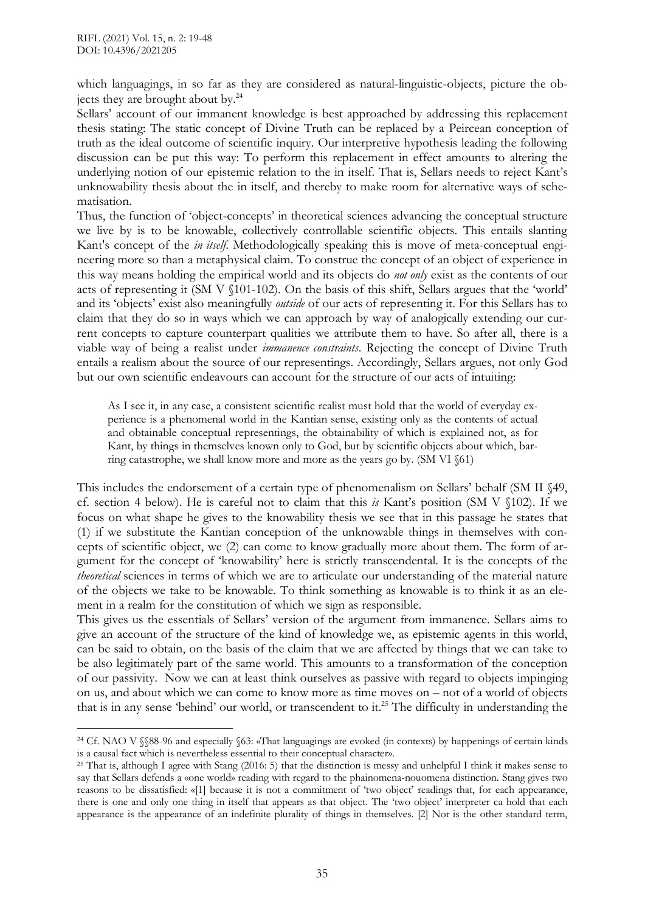which languagings, in so far as they are considered as natural-linguistic-objects, picture the objects they are brought about by.<sup>24</sup>

Sellars' account of our immanent knowledge is best approached by addressing this replacement thesis stating: The static concept of Divine Truth can be replaced by a Peircean conception of truth as the ideal outcome of scientific inquiry. Our interpretive hypothesis leading the following discussion can be put this way: To perform this replacement in effect amounts to altering the underlying notion of our epistemic relation to the in itself. That is, Sellars needs to reject Kant's unknowability thesis about the in itself, and thereby to make room for alternative ways of schematisation.

Thus, the function of 'object-concepts' in theoretical sciences advancing the conceptual structure we live by is to be knowable, collectively controllable scientific objects. This entails slanting Kant's concept of the *in itself*. Methodologically speaking this is move of meta-conceptual engineering more so than a metaphysical claim. To construe the concept of an object of experience in this way means holding the empirical world and its objects do *not only* exist as the contents of our acts of representing it (SM V §101-102). On the basis of this shift, Sellars argues that the 'world' and its 'objects' exist also meaningfully *outside* of our acts of representing it. For this Sellars has to claim that they do so in ways which we can approach by way of analogically extending our current concepts to capture counterpart qualities we attribute them to have. So after all, there is a viable way of being a realist under *immanence constraints*. Rejecting the concept of Divine Truth entails a realism about the source of our representings. Accordingly, Sellars argues, not only God but our own scientific endeavours can account for the structure of our acts of intuiting:

As I see it, in any case, a consistent scientific realist must hold that the world of everyday experience is a phenomenal world in the Kantian sense, existing only as the contents of actual and obtainable conceptual representings, the obtainability of which is explained not, as for Kant, by things in themselves known only to God, but by scientific objects about which, barring catastrophe, we shall know more and more as the years go by. (SM VI §61)

This includes the endorsement of a certain type of phenomenalism on Sellars' behalf (SM II §49, cf. section 4 below). He is careful not to claim that this *is* Kant's position (SM V §102). If we focus on what shape he gives to the knowability thesis we see that in this passage he states that (1) if we substitute the Kantian conception of the unknowable things in themselves with concepts of scientific object, we (2) can come to know gradually more about them. The form of argument for the concept of 'knowability' here is strictly transcendental. It is the concepts of the *theoretical* sciences in terms of which we are to articulate our understanding of the material nature of the objects we take to be knowable. To think something as knowable is to think it as an element in a realm for the constitution of which we sign as responsible.

This gives us the essentials of Sellars' version of the argument from immanence. Sellars aims to give an account of the structure of the kind of knowledge we, as epistemic agents in this world, can be said to obtain, on the basis of the claim that we are affected by things that we can take to be also legitimately part of the same world. This amounts to a transformation of the conception of our passivity. Now we can at least think ourselves as passive with regard to objects impinging on us, and about which we can come to know more as time moves on – not of a world of objects that is in any sense 'behind' our world, or transcendent to it.<sup>25</sup> The difficulty in understanding the

 $\overline{a}$ <sup>24</sup> Cf. NAO V §§88-96 and especially §63: «That languagings are evoked (in contexts) by happenings of certain kinds is a causal fact which is nevertheless essential to their conceptual character».

<sup>25</sup> That is, although I agree with Stang (2016: 5) that the distinction is messy and unhelpful I think it makes sense to say that Sellars defends a «one world» reading with regard to the phainomena-nouomena distinction. Stang gives two reasons to be dissatisfied: «[1] because it is not a commitment of 'two object' readings that, for each appearance, there is one and only one thing in itself that appears as that object. The 'two object' interpreter ca hold that each appearance is the appearance of an indefinite plurality of things in themselves. [2] Nor is the other standard term,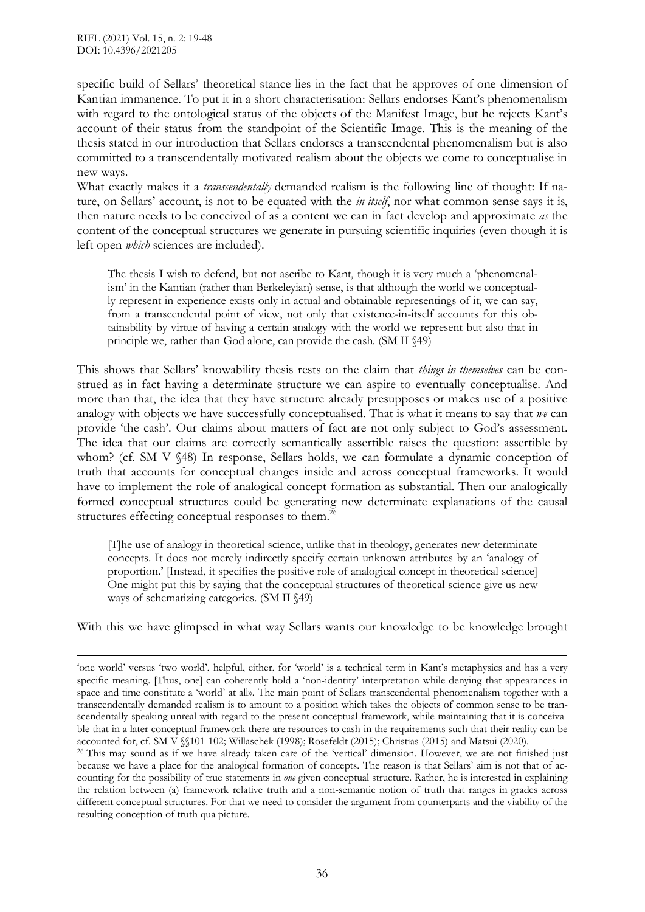specific build of Sellars' theoretical stance lies in the fact that he approves of one dimension of Kantian immanence. To put it in a short characterisation: Sellars endorses Kant's phenomenalism with regard to the ontological status of the objects of the Manifest Image, but he rejects Kant's account of their status from the standpoint of the Scientific Image. This is the meaning of the thesis stated in our introduction that Sellars endorses a transcendental phenomenalism but is also committed to a transcendentally motivated realism about the objects we come to conceptualise in new ways.

What exactly makes it a *transcendentally* demanded realism is the following line of thought: If nature, on Sellars' account, is not to be equated with the *in itself*, nor what common sense says it is, then nature needs to be conceived of as a content we can in fact develop and approximate *as* the content of the conceptual structures we generate in pursuing scientific inquiries (even though it is left open *which* sciences are included).

The thesis I wish to defend, but not ascribe to Kant, though it is very much a 'phenomenalism' in the Kantian (rather than Berkeleyian) sense, is that although the world we conceptually represent in experience exists only in actual and obtainable representings of it, we can say, from a transcendental point of view, not only that existence-in-itself accounts for this obtainability by virtue of having a certain analogy with the world we represent but also that in principle we, rather than God alone, can provide the cash. (SM II §49)

This shows that Sellars' knowability thesis rests on the claim that *things in themselves* can be construed as in fact having a determinate structure we can aspire to eventually conceptualise. And more than that, the idea that they have structure already presupposes or makes use of a positive analogy with objects we have successfully conceptualised. That is what it means to say that *we* can provide 'the cash'. Our claims about matters of fact are not only subject to God's assessment. The idea that our claims are correctly semantically assertible raises the question: assertible by whom? (cf. SM V §48) In response, Sellars holds, we can formulate a dynamic conception of truth that accounts for conceptual changes inside and across conceptual frameworks. It would have to implement the role of analogical concept formation as substantial. Then our analogically formed conceptual structures could be generating new determinate explanations of the causal structures effecting conceptual responses to them.<sup>26</sup>

[T]he use of analogy in theoretical science, unlike that in theology, generates new determinate concepts. It does not merely indirectly specify certain unknown attributes by an 'analogy of proportion.' [Instead, it specifies the positive role of analogical concept in theoretical science] One might put this by saying that the conceptual structures of theoretical science give us new ways of schematizing categories. (SM II §49)

With this we have glimpsed in what way Sellars wants our knowledge to be knowledge brought

<sup>&#</sup>x27;one world' versus 'two world', helpful, either, for 'world' is a technical term in Kant's metaphysics and has a very specific meaning. [Thus, one] can coherently hold a 'non-identity' interpretation while denying that appearances in space and time constitute a 'world' at all». The main point of Sellars transcendental phenomenalism together with a transcendentally demanded realism is to amount to a position which takes the objects of common sense to be transcendentally speaking unreal with regard to the present conceptual framework, while maintaining that it is conceivable that in a later conceptual framework there are resources to cash in the requirements such that their reality can be accounted for, cf. SM V §§101-102; Willaschek (1998); Rosefeldt (2015); Christias (2015) and Matsui (2020).

<sup>&</sup>lt;sup>26</sup> This may sound as if we have already taken care of the 'vertical' dimension. However, we are not finished just because we have a place for the analogical formation of concepts. The reason is that Sellars' aim is not that of accounting for the possibility of true statements in *one* given conceptual structure. Rather, he is interested in explaining the relation between (a) framework relative truth and a non-semantic notion of truth that ranges in grades across different conceptual structures. For that we need to consider the argument from counterparts and the viability of the resulting conception of truth qua picture.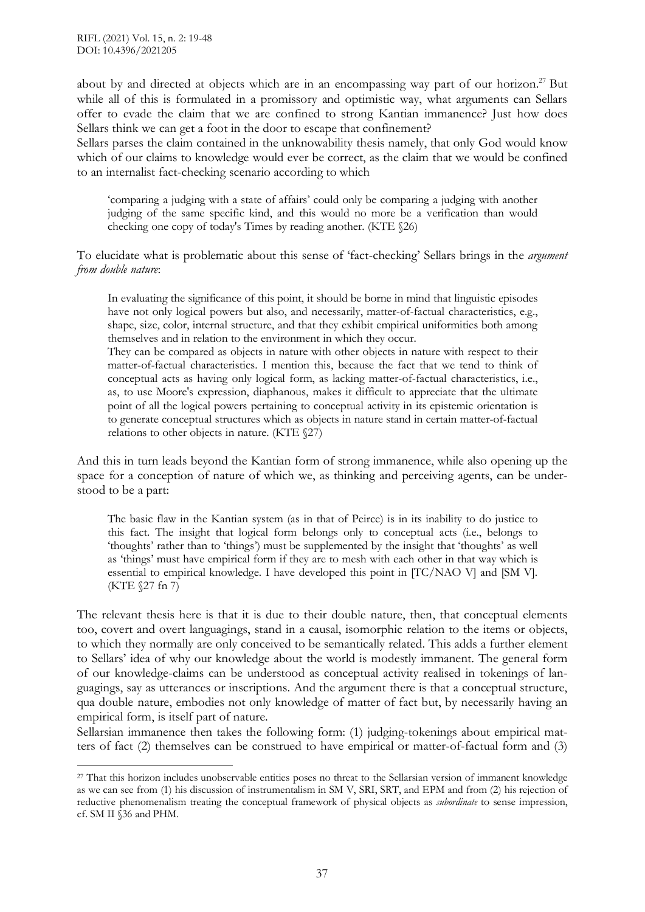about by and directed at objects which are in an encompassing way part of our horizon.<sup>27</sup> But while all of this is formulated in a promissory and optimistic way, what arguments can Sellars offer to evade the claim that we are confined to strong Kantian immanence? Just how does Sellars think we can get a foot in the door to escape that confinement?

Sellars parses the claim contained in the unknowability thesis namely, that only God would know which of our claims to knowledge would ever be correct, as the claim that we would be confined to an internalist fact-checking scenario according to which

'comparing a judging with a state of affairs' could only be comparing a judging with another judging of the same specific kind, and this would no more be a verification than would checking one copy of today's Times by reading another. (KTE §26)

To elucidate what is problematic about this sense of 'fact-checking' Sellars brings in the *argument from double nature*:

In evaluating the significance of this point, it should be borne in mind that linguistic episodes have not only logical powers but also, and necessarily, matter-of-factual characteristics, e.g., shape, size, color, internal structure, and that they exhibit empirical uniformities both among themselves and in relation to the environment in which they occur.

They can be compared as objects in nature with other objects in nature with respect to their matter-of-factual characteristics. I mention this, because the fact that we tend to think of conceptual acts as having only logical form, as lacking matter-of-factual characteristics, i.e., as, to use Moore's expression, diaphanous, makes it difficult to appreciate that the ultimate point of all the logical powers pertaining to conceptual activity in its epistemic orientation is to generate conceptual structures which as objects in nature stand in certain matter-of-factual relations to other objects in nature. (KTE §27)

And this in turn leads beyond the Kantian form of strong immanence, while also opening up the space for a conception of nature of which we, as thinking and perceiving agents, can be understood to be a part:

The basic flaw in the Kantian system (as in that of Peirce) is in its inability to do justice to this fact. The insight that logical form belongs only to conceptual acts (i.e., belongs to 'thoughts' rather than to 'things') must be supplemented by the insight that 'thoughts' as well as 'things' must have empirical form if they are to mesh with each other in that way which is essential to empirical knowledge. I have developed this point in [TC/NAO V] and [SM V]. (KTE §27 fn 7)

The relevant thesis here is that it is due to their double nature, then, that conceptual elements too, covert and overt languagings, stand in a causal, isomorphic relation to the items or objects, to which they normally are only conceived to be semantically related. This adds a further element to Sellars' idea of why our knowledge about the world is modestly immanent. The general form of our knowledge-claims can be understood as conceptual activity realised in tokenings of languagings, say as utterances or inscriptions. And the argument there is that a conceptual structure, qua double nature, embodies not only knowledge of matter of fact but, by necessarily having an empirical form, is itself part of nature.

Sellarsian immanence then takes the following form: (1) judging-tokenings about empirical matters of fact (2) themselves can be construed to have empirical or matter-of-factual form and (3)

<sup>27</sup> That this horizon includes unobservable entities poses no threat to the Sellarsian version of immanent knowledge as we can see from (1) his discussion of instrumentalism in SM V, SRI, SRT, and EPM and from (2) his rejection of reductive phenomenalism treating the conceptual framework of physical objects as *subordinate* to sense impression, cf. SM II §36 and PHM.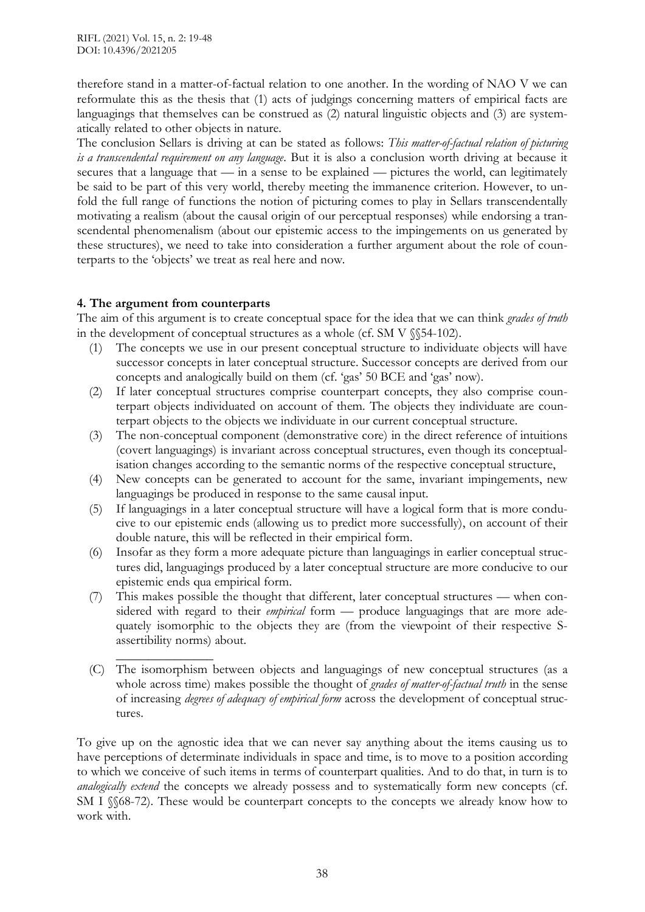therefore stand in a matter-of-factual relation to one another. In the wording of NAO V we can reformulate this as the thesis that (1) acts of judgings concerning matters of empirical facts are languagings that themselves can be construed as  $(2)$  natural linguistic objects and  $(3)$  are systematically related to other objects in nature.

The conclusion Sellars is driving at can be stated as follows: *This matter-of-factual relation of picturing is a transcendental requirement on any language*. But it is also a conclusion worth driving at because it secures that a language that  $\frac{1}{2}$  in a sense to be explained  $\frac{1}{2}$  pictures the world, can legitimately be said to be part of this very world, thereby meeting the immanence criterion. However, to unfold the full range of functions the notion of picturing comes to play in Sellars transcendentally motivating a realism (about the causal origin of our perceptual responses) while endorsing a transcendental phenomenalism (about our epistemic access to the impingements on us generated by these structures), we need to take into consideration a further argument about the role of counterparts to the 'objects' we treat as real here and now.

# **4. The argument from counterparts**

The aim of this argument is to create conceptual space for the idea that we can think *grades of truth* in the development of conceptual structures as a whole (cf. SM V  $\S$ 54-102).

- (1) The concepts we use in our present conceptual structure to individuate objects will have successor concepts in later conceptual structure. Successor concepts are derived from our concepts and analogically build on them (cf. 'gas' 50 BCE and 'gas' now).
- (2) If later conceptual structures comprise counterpart concepts, they also comprise counterpart objects individuated on account of them. The objects they individuate are counterpart objects to the objects we individuate in our current conceptual structure.
- (3) The non-conceptual component (demonstrative core) in the direct reference of intuitions (covert languagings) is invariant across conceptual structures, even though its conceptualisation changes according to the semantic norms of the respective conceptual structure,
- (4) New concepts can be generated to account for the same, invariant impingements, new languagings be produced in response to the same causal input.
- (5) If languagings in a later conceptual structure will have a logical form that is more conducive to our epistemic ends (allowing us to predict more successfully), on account of their double nature, this will be reflected in their empirical form.
- (6) Insofar as they form a more adequate picture than languagings in earlier conceptual structures did, languagings produced by a later conceptual structure are more conducive to our epistemic ends qua empirical form.
- (7) This makes possible the thought that different, later conceptual structures when considered with regard to their *empirical* form — produce languagings that are more adequately isomorphic to the objects they are (from the viewpoint of their respective Sassertibility norms) about.
- $\overline{\phantom{a}}$  , where  $\overline{\phantom{a}}$ (C) The isomorphism between objects and languagings of new conceptual structures (as a whole across time) makes possible the thought of *grades of matter-of-factual truth* in the sense of increasing *degrees of adequacy of empirical form* across the development of conceptual structures.

To give up on the agnostic idea that we can never say anything about the items causing us to have perceptions of determinate individuals in space and time, is to move to a position according to which we conceive of such items in terms of counterpart qualities. And to do that, in turn is to *analogically extend* the concepts we already possess and to systematically form new concepts (cf. SM I §§68-72). These would be counterpart concepts to the concepts we already know how to work with.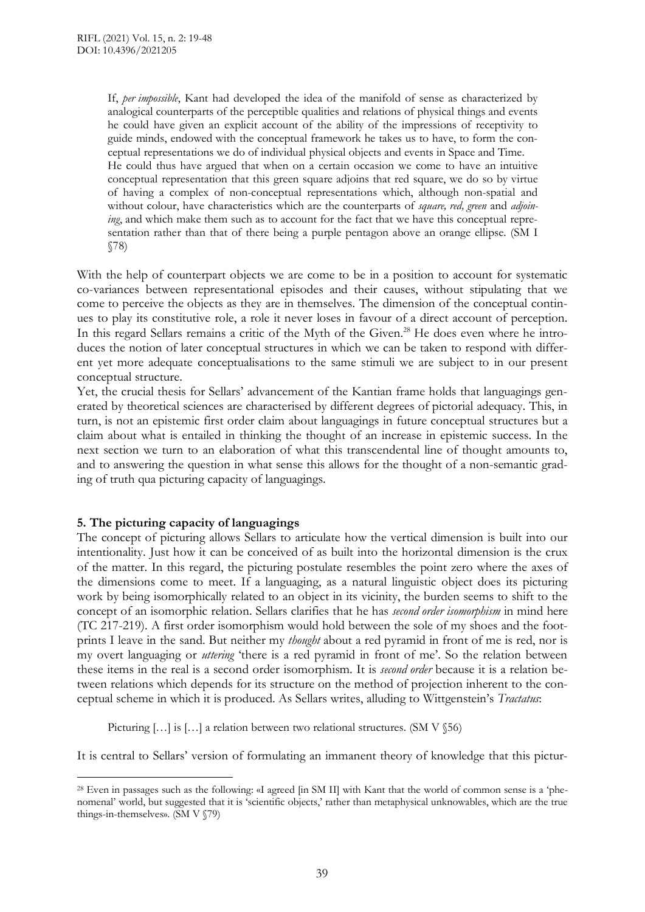If, *per impossible*, Kant had developed the idea of the manifold of sense as characterized by analogical counterparts of the perceptible qualities and relations of physical things and events he could have given an explicit account of the ability of the impressions of receptivity to guide minds, endowed with the conceptual framework he takes us to have, to form the conceptual representations we do of individual physical objects and events in Space and Time. He could thus have argued that when on a certain occasion we come to have an intuitive conceptual representation that this green square adjoins that red square, we do so by virtue of having a complex of non-conceptual representations which, although non-spatial and without colour, have characteristics which are the counterparts of *square, red, green* and *adjoining*, and which make them such as to account for the fact that we have this conceptual representation rather than that of there being a purple pentagon above an orange ellipse. (SM I §78)

With the help of counterpart objects we are come to be in a position to account for systematic co-variances between representational episodes and their causes, without stipulating that we come to perceive the objects as they are in themselves. The dimension of the conceptual continues to play its constitutive role, a role it never loses in favour of a direct account of perception. In this regard Sellars remains a critic of the Myth of the Given.<sup>28</sup> He does even where he introduces the notion of later conceptual structures in which we can be taken to respond with different yet more adequate conceptualisations to the same stimuli we are subject to in our present conceptual structure.

Yet, the crucial thesis for Sellars' advancement of the Kantian frame holds that languagings generated by theoretical sciences are characterised by different degrees of pictorial adequacy. This, in turn, is not an epistemic first order claim about languagings in future conceptual structures but a claim about what is entailed in thinking the thought of an increase in epistemic success. In the next section we turn to an elaboration of what this transcendental line of thought amounts to, and to answering the question in what sense this allows for the thought of a non-semantic grading of truth qua picturing capacity of languagings.

## **5. The picturing capacity of languagings**

 $\overline{a}$ 

The concept of picturing allows Sellars to articulate how the vertical dimension is built into our intentionality. Just how it can be conceived of as built into the horizontal dimension is the crux of the matter. In this regard, the picturing postulate resembles the point zero where the axes of the dimensions come to meet. If a languaging, as a natural linguistic object does its picturing work by being isomorphically related to an object in its vicinity, the burden seems to shift to the concept of an isomorphic relation. Sellars clarifies that he has *second order isomorphism* in mind here (TC 217-219). A first order isomorphism would hold between the sole of my shoes and the footprints I leave in the sand. But neither my *thought* about a red pyramid in front of me is red, nor is my overt languaging or *uttering* 'there is a red pyramid in front of me'. So the relation between these items in the real is a second order isomorphism. It is *second order* because it is a relation between relations which depends for its structure on the method of projection inherent to the conceptual scheme in which it is produced. As Sellars writes, alluding to Wittgenstein's *Tractatus*:

Picturing [...] is [...] a relation between two relational structures. (SM V §56)

It is central to Sellars' version of formulating an immanent theory of knowledge that this pictur-

<sup>28</sup> Even in passages such as the following: «I agreed [in SM II] with Kant that the world of common sense is a 'phenomenal' world, but suggested that it is 'scientific objects,' rather than metaphysical unknowables, which are the true things-in-themselves». (SM V §79)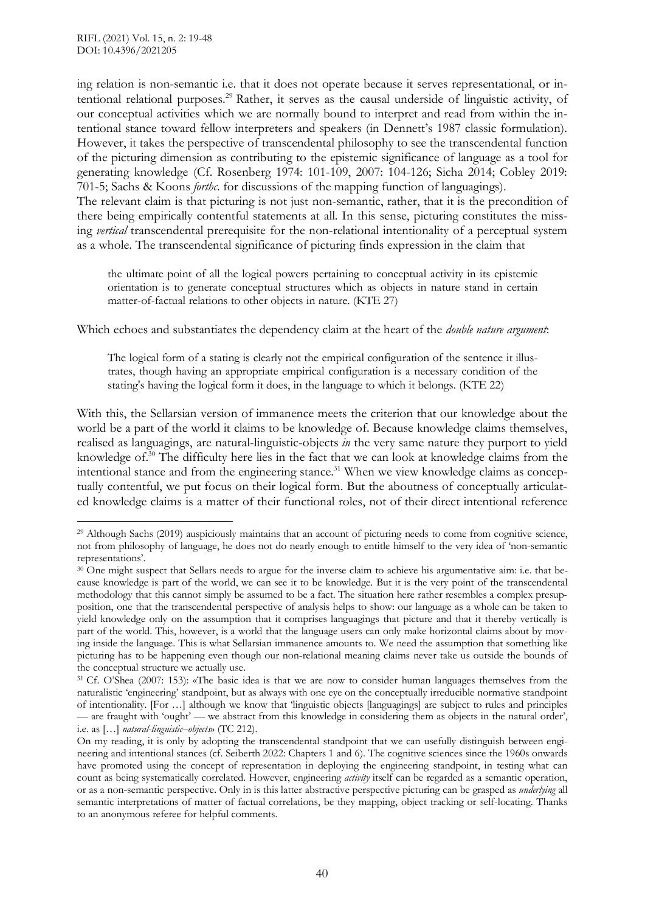ing relation is non-semantic i.e. that it does not operate because it serves representational, or intentional relational purposes.<sup>29</sup> Rather, it serves as the causal underside of linguistic activity, of our conceptual activities which we are normally bound to interpret and read from within the intentional stance toward fellow interpreters and speakers (in Dennett's 1987 classic formulation). However, it takes the perspective of transcendental philosophy to see the transcendental function of the picturing dimension as contributing to the epistemic significance of language as a tool for generating knowledge (Cf. Rosenberg 1974: 101-109, 2007: 104-126; Sicha 2014; Cobley 2019: 701-5; Sachs & Koons *forthc*. for discussions of the mapping function of languagings). The relevant claim is that picturing is not just non-semantic, rather, that it is the precondition of there being empirically contentful statements at all. In this sense, picturing constitutes the missing *vertical* transcendental prerequisite for the non-relational intentionality of a perceptual system as a whole. The transcendental significance of picturing finds expression in the claim that

the ultimate point of all the logical powers pertaining to conceptual activity in its epistemic orientation is to generate conceptual structures which as objects in nature stand in certain matter-of-factual relations to other objects in nature. (KTE 27)

Which echoes and substantiates the dependency claim at the heart of the *double nature argument*:

The logical form of a stating is clearly not the empirical configuration of the sentence it illustrates, though having an appropriate empirical configuration is a necessary condition of the stating's having the logical form it does, in the language to which it belongs. (KTE 22)

With this, the Sellarsian version of immanence meets the criterion that our knowledge about the world be a part of the world it claims to be knowledge of. Because knowledge claims themselves, realised as languagings, are natural-linguistic-objects *in* the very same nature they purport to yield knowledge of. $30$  The difficulty here lies in the fact that we can look at knowledge claims from the intentional stance and from the engineering stance.<sup>31</sup> When we view knowledge claims as conceptually contentful, we put focus on their logical form. But the aboutness of conceptually articulated knowledge claims is a matter of their functional roles, not of their direct intentional reference

 $\overline{a}$ <sup>29</sup> Although Sachs (2019) auspiciously maintains that an account of picturing needs to come from cognitive science, not from philosophy of language, he does not do nearly enough to entitle himself to the very idea of 'non-semantic representations'.

<sup>&</sup>lt;sup>30</sup> One might suspect that Sellars needs to argue for the inverse claim to achieve his argumentative aim: i.e. that because knowledge is part of the world, we can see it to be knowledge. But it is the very point of the transcendental methodology that this cannot simply be assumed to be a fact. The situation here rather resembles a complex presupposition, one that the transcendental perspective of analysis helps to show: our language as a whole can be taken to yield knowledge only on the assumption that it comprises languagings that picture and that it thereby vertically is part of the world. This, however, is a world that the language users can only make horizontal claims about by moving inside the language. This is what Sellarsian immanence amounts to. We need the assumption that something like picturing has to be happening even though our non-relational meaning claims never take us outside the bounds of the conceptual structure we actually use.

<sup>31</sup> Cf. O'Shea (2007: 153): «The basic idea is that we are now to consider human languages themselves from the naturalistic 'engineering' standpoint, but as always with one eye on the conceptually irreducible normative standpoint of intentionality. [For …] although we know that 'linguistic objects [languagings] are subject to rules and principles — are fraught with 'ought' — we abstract from this knowledge in considering them as objects in the natural order', i.e. as […] *natural-linguistic–objects*» (TC 212).

On my reading, it is only by adopting the transcendental standpoint that we can usefully distinguish between engineering and intentional stances (cf. Seiberth 2022: Chapters 1 and 6). The cognitive sciences since the 1960s onwards have promoted using the concept of representation in deploying the engineering standpoint, in testing what can count as being systematically correlated. However, engineering *activity* itself can be regarded as a semantic operation, or as a non-semantic perspective. Only in is this latter abstractive perspective picturing can be grasped as *underlying* all semantic interpretations of matter of factual correlations, be they mapping, object tracking or self-locating. Thanks to an anonymous referee for helpful comments.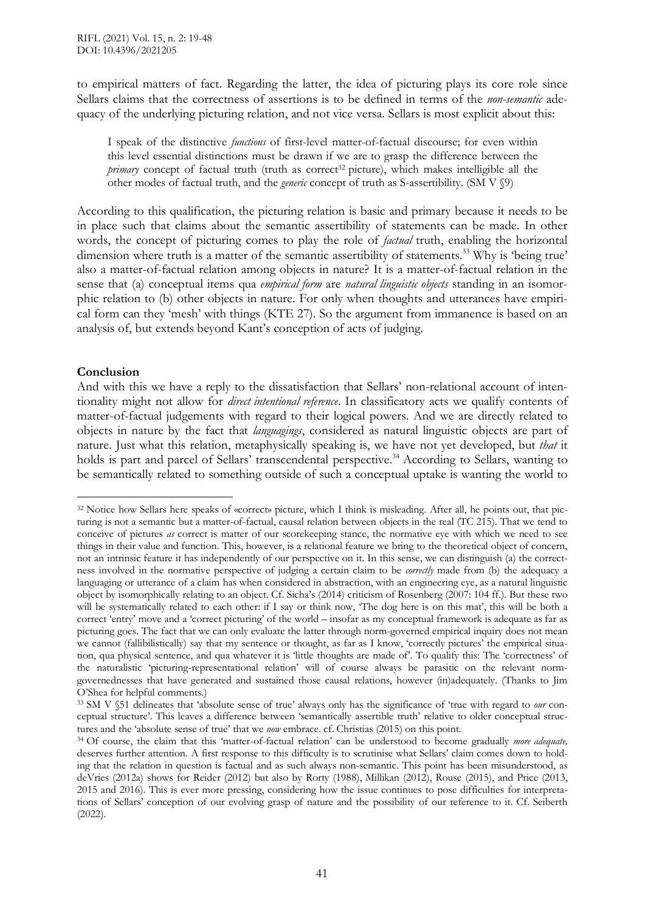to empirical matters of fact. Regarding the latter, the idea of picturing plays its core role since Sellars claims that the correctness of assertions is to be defined in terms of the *non-semantic* adequacy of the underlying picturing relation, and not vice versa. Sellars is most explicit about this:

I speak of the distinctive *functions* of first-level matter-of-factual discourse; for even within this level essential distinctions must be drawn if we are to grasp the difference between the *primary* concept of factual truth (truth as correct<sup>32</sup> picture), which makes intelligible all the other modes of factual truth, and the *generic* concept of truth as S-assertibility. (SM V §9)

According to this qualification, the picturing relation is basic and primary because it needs to be in place such that claims about the semantic assertibility of statements can be made. In other words, the concept of picturing comes to play the role of *factual* truth, enabling the horizontal dimension where truth is a matter of the semantic assertibility of statements.<sup>33</sup> Why is 'being true' also a matter-of-factual relation among objects in nature? It is a matter-of-factual relation in the sense that (a) conceptual items qua *empirical form* are *natural linguistic objects* standing in an isomorphic relation to (b) other objects in nature. For only when thoughts and utterances have empirical form can they 'mesh' with things (KTE 27). So the argument from immanence is based on an analysis of, but extends beyond Kant's conception of acts of judging.

# **Conclusion**

 $\overline{a}$ 

And with this we have a reply to the dissatisfaction that Sellars' non-relational account of intentionality might not allow for *direct intentional reference*. In classificatory acts we qualify contents of matter-of-factual judgements with regard to their logical powers. And we are directly related to objects in nature by the fact that *languagings*, considered as natural linguistic objects are part of nature. Just what this relation, metaphysically speaking is, we have not yet developed, but *that* it holds is part and parcel of Sellars' transcendental perspective.<sup>34</sup> According to Sellars, wanting to be semantically related to something outside of such a conceptual uptake is wanting the world to

<sup>32</sup> Notice how Sellars here speaks of «correct» picture, which I think is misleading. After all, he points out, that picturing is not a semantic but a matter-of-factual, causal relation between objects in the real (TC 215). That we tend to conceive of pictures *as* correct is matter of our scorekeeping stance, the normative eye with which we need to see things in their value and function. This, however, is a relational feature we bring to the theoretical object of concern, not an intrinsic feature it has independently of our perspective on it. In this sense, we can distinguish (a) the correctness involved in the normative perspective of judging a certain claim to be *correctly* made from (b) the adequacy a languaging or utterance of a claim has when considered in abstraction, with an engineering eye, as a natural linguistic object by isomorphically relating to an object. Cf. Sicha's (2014) criticism of Rosenberg (2007: 104 ff.). But these two will be systematically related to each other: if I say or think now, 'The dog here is on this mat', this will be both a correct 'entry' move and a 'correct picturing' of the world – insofar as my conceptual framework is adequate as far as picturing goes. The fact that we can only evaluate the latter through norm-governed empirical inquiry does not mean we cannot (fallibilistically) say that my sentence or thought, as far as I know, 'correctly pictures' the empirical situation, qua physical sentence, and qua whatever it is 'little thoughts are made of'. To qualify this: The 'correctness' of the naturalistic 'picturing-representational relation' will of course always be parasitic on the relevant normgovernednesses that have generated and sustained those causal relations, however (in)adequately. (Thanks to Jim O'Shea for helpful comments.)

<sup>33</sup> SM V §51 delineates that 'absolute sense of true' always only has the significance of 'true with regard to *our* conceptual structure'. This leaves a difference between 'semantically assertible truth' relative to older conceptual structures and the 'absolute sense of true' that we *now* embrace. cf. Christias (2015) on this point.

<sup>34</sup> Of course, the claim that this 'matter-of-factual relation' can be understood to become gradually *more adequate,* deserves further attention. A first response to this difficulty is to scrutinise what Sellars' claim comes down to holding that the relation in question is factual and as such always non-semantic. This point has been misunderstood, as deVries (2012a) shows for Reider (2012) but also by Rorty (1988), Millikan (2012), Rouse (2015), and Price (2013, 2015 and 2016). This is ever more pressing, considering how the issue continues to pose difficulties for interpretations of Sellars' conception of our evolving grasp of nature and the possibility of our reference to it. Cf. Seiberth (2022).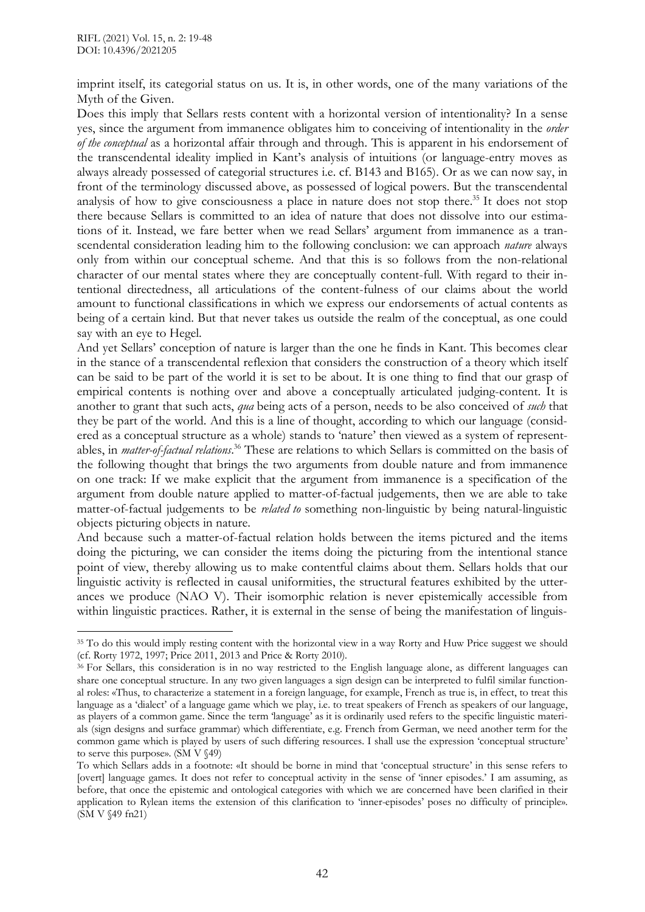imprint itself, its categorial status on us. It is, in other words, one of the many variations of the Myth of the Given.

Does this imply that Sellars rests content with a horizontal version of intentionality? In a sense yes, since the argument from immanence obligates him to conceiving of intentionality in the *order of the conceptual* as a horizontal affair through and through. This is apparent in his endorsement of the transcendental ideality implied in Kant's analysis of intuitions (or language-entry moves as always already possessed of categorial structures i.e. cf. B143 and B165). Or as we can now say, in front of the terminology discussed above, as possessed of logical powers. But the transcendental analysis of how to give consciousness a place in nature does not stop there.<sup>35</sup> It does not stop there because Sellars is committed to an idea of nature that does not dissolve into our estimations of it. Instead, we fare better when we read Sellars' argument from immanence as a transcendental consideration leading him to the following conclusion: we can approach *nature* always only from within our conceptual scheme. And that this is so follows from the non-relational character of our mental states where they are conceptually content-full. With regard to their intentional directedness, all articulations of the content-fulness of our claims about the world amount to functional classifications in which we express our endorsements of actual contents as being of a certain kind. But that never takes us outside the realm of the conceptual, as one could say with an eye to Hegel.

And yet Sellars' conception of nature is larger than the one he finds in Kant. This becomes clear in the stance of a transcendental reflexion that considers the construction of a theory which itself can be said to be part of the world it is set to be about. It is one thing to find that our grasp of empirical contents is nothing over and above a conceptually articulated judging-content. It is another to grant that such acts, *qua* being acts of a person, needs to be also conceived of *such* that they be part of the world. And this is a line of thought, according to which our language (considered as a conceptual structure as a whole) stands to 'nature' then viewed as a system of representables, in *matter-of-factual relations*. <sup>36</sup> These are relations to which Sellars is committed on the basis of the following thought that brings the two arguments from double nature and from immanence on one track: If we make explicit that the argument from immanence is a specification of the argument from double nature applied to matter-of-factual judgements, then we are able to take matter-of-factual judgements to be *related to* something non-linguistic by being natural-linguistic objects picturing objects in nature.

And because such a matter-of-factual relation holds between the items pictured and the items doing the picturing, we can consider the items doing the picturing from the intentional stance point of view, thereby allowing us to make contentful claims about them. Sellars holds that our linguistic activity is reflected in causal uniformities, the structural features exhibited by the utterances we produce (NAO V). Their isomorphic relation is never epistemically accessible from within linguistic practices. Rather, it is external in the sense of being the manifestation of linguis-

 $\overline{a}$ <sup>35</sup> To do this would imply resting content with the horizontal view in a way Rorty and Huw Price suggest we should (cf. Rorty 1972, 1997; Price 2011, 2013 and Price & Rorty 2010).

<sup>36</sup> For Sellars, this consideration is in no way restricted to the English language alone, as different languages can share one conceptual structure. In any two given languages a sign design can be interpreted to fulfil similar functional roles: «Thus, to characterize a statement in a foreign language, for example, French as true is, in effect, to treat this language as a 'dialect' of a language game which we play, i.e. to treat speakers of French as speakers of our language, as players of a common game. Since the term 'language' as it is ordinarily used refers to the specific linguistic materials (sign designs and surface grammar) which differentiate, e.g. French from German, we need another term for the common game which is played by users of such differing resources. I shall use the expression 'conceptual structure' to serve this purpose». (SM V §49)

To which Sellars adds in a footnote: «It should be borne in mind that 'conceptual structure' in this sense refers to [overt] language games. It does not refer to conceptual activity in the sense of 'inner episodes.' I am assuming, as before, that once the epistemic and ontological categories with which we are concerned have been clarified in their application to Rylean items the extension of this clarification to 'inner-episodes' poses no difficulty of principle». (SM V §49 fn21)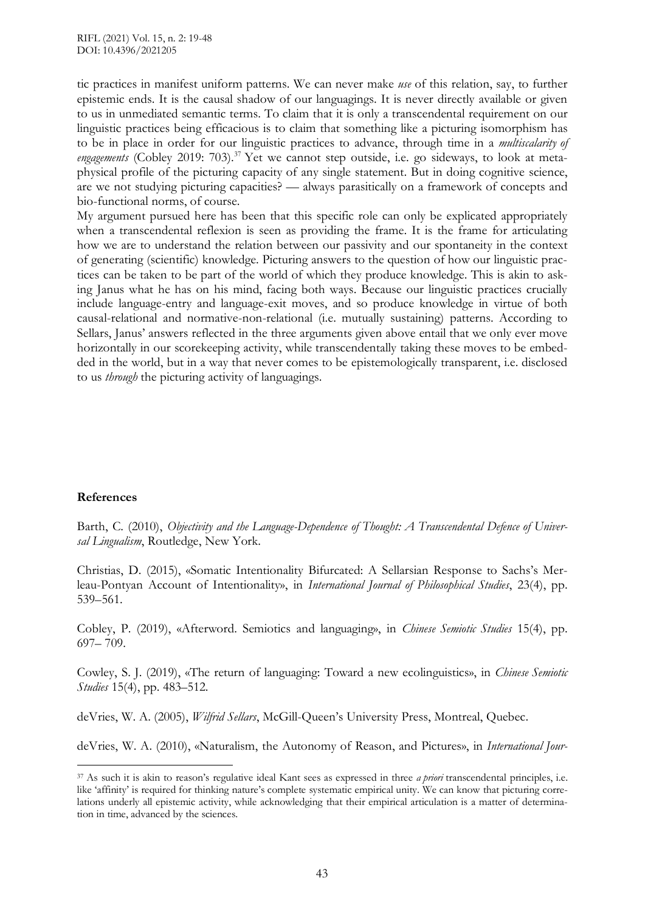tic practices in manifest uniform patterns. We can never make *use* of this relation, say, to further epistemic ends. It is the causal shadow of our languagings. It is never directly available or given to us in unmediated semantic terms. To claim that it is only a transcendental requirement on our linguistic practices being efficacious is to claim that something like a picturing isomorphism has to be in place in order for our linguistic practices to advance, through time in a *multiscalarity of* engagements (Cobley 2019: 703).<sup>37</sup> Yet we cannot step outside, i.e. go sideways, to look at metaphysical profile of the picturing capacity of any single statement. But in doing cognitive science, are we not studying picturing capacities? — always parasitically on a framework of concepts and bio-functional norms, of course.

My argument pursued here has been that this specific role can only be explicated appropriately when a transcendental reflexion is seen as providing the frame. It is the frame for articulating how we are to understand the relation between our passivity and our spontaneity in the context of generating (scientific) knowledge. Picturing answers to the question of how our linguistic practices can be taken to be part of the world of which they produce knowledge. This is akin to asking Janus what he has on his mind, facing both ways. Because our linguistic practices crucially include language-entry and language-exit moves, and so produce knowledge in virtue of both causal-relational and normative-non-relational (i.e. mutually sustaining) patterns. According to Sellars, Janus' answers reflected in the three arguments given above entail that we only ever move horizontally in our scorekeeping activity, while transcendentally taking these moves to be embedded in the world, but in a way that never comes to be epistemologically transparent, i.e. disclosed to us *through* the picturing activity of languagings.

## **References**

 $\overline{a}$ 

Barth, C. (2010), *Objectivity and the Language-Dependence of Thought: A Transcendental Defence of Universal Lingualism*, Routledge, New York.

Christias, D. (2015), «Somatic Intentionality Bifurcated: A Sellarsian Response to Sachs's Merleau-Pontyan Account of Intentionality», in *International Journal of Philosophical Studies*, 23(4), pp. 539–561.

Cobley, P. (2019), «Afterword. Semiotics and languaging», in *Chinese Semiotic Studies* 15(4), pp. 697– 709.

Cowley, S. J. (2019), «The return of languaging: Toward a new ecolinguistics», in *Chinese Semiotic Studies* 15(4), pp. 483–512.

deVries, W. A. (2005), *Wilfrid Sellars*, McGill-Queen's University Press, Montreal, Quebec.

deVries, W. A. (2010), «Naturalism, the Autonomy of Reason, and Pictures», in *International Jour-*

<sup>37</sup> As such it is akin to reason's regulative ideal Kant sees as expressed in three *a priori* transcendental principles, i.e. like 'affinity' is required for thinking nature's complete systematic empirical unity. We can know that picturing correlations underly all epistemic activity, while acknowledging that their empirical articulation is a matter of determination in time, advanced by the sciences.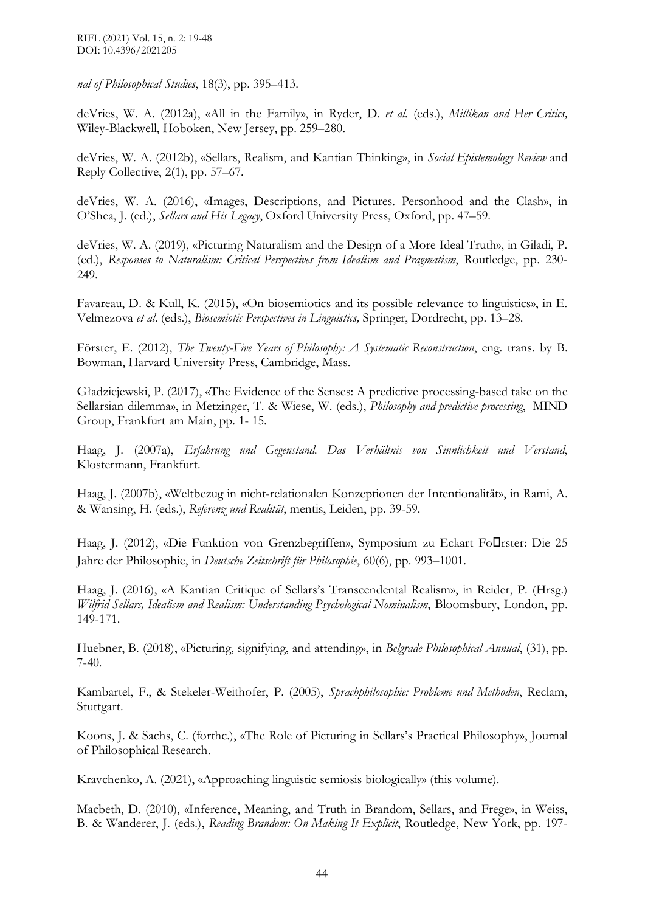RIFL (2021) Vol. 15, n. 2: 19-48 DOI: 10.4396/2021205

*nal of Philosophical Studies*, 18(3), pp. 395–413.

deVries, W. A. (2012a), «All in the Family», in Ryder, D. *et al.* (eds.), *Millikan and Her Critics,* Wiley-Blackwell, Hoboken, New Jersey, pp. 259–280.

deVries, W. A. (2012b), «Sellars, Realism, and Kantian Thinking», in *Social Epistemology Review* and Reply Collective, 2(1), pp. 57–67.

deVries, W. A. (2016), «Images, Descriptions, and Pictures. Personhood and the Clash», in O'Shea, J. (ed.), *Sellars and His Legacy*, Oxford University Press, Oxford, pp. 47–59.

deVries, W. A. (2019), «Picturing Naturalism and the Design of a More Ideal Truth», in Giladi, P. (ed.), *Responses to Naturalism: Critical Perspectives from Idealism and Pragmatism*, Routledge, pp. 230- 249.

Favareau, D. & Kull, K. (2015), «On biosemiotics and its possible relevance to linguistics», in E. Velmezova *et al*. (eds.), *Biosemiotic Perspectives in Linguistics,* Springer, Dordrecht, pp. 13–28.

Förster, E. (2012), *The Twenty-Five Years of Philosophy: A Systematic Reconstruction*, eng. trans. by B. Bowman, Harvard University Press, Cambridge, Mass.

Gładziejewski, P. (2017), «The Evidence of the Senses: A predictive processing-based take on the Sellarsian dilemma», in Metzinger, T. & Wiese, W. (eds.), *Philosophy and predictive processing*, MIND Group, Frankfurt am Main, pp. 1- 15.

Haag, J. (2007a), *Erfahrung und Gegenstand. Das Verhältnis von Sinnlichkeit und Verstand*, Klostermann, Frankfurt.

Haag, J. (2007b), «Weltbezug in nicht-relationalen Konzeptionen der Intentionalität», in Rami, A. & Wansing, H. (eds.), *Referenz und Realität*, mentis, Leiden, pp. 39-59.

Haag, J. (2012), «Die Funktion von Grenzbegriffen», Symposium zu Eckart Fo $\Box$ rster: Die 25 Jahre der Philosophie, in *Deutsche Zeitschrift für Philosophie*, 60(6), pp. 993–1001.

Haag, J. (2016), «A Kantian Critique of Sellars's Transcendental Realism», in Reider, P. (Hrsg.) *Wilfrid Sellars, Idealism and Realism: Understanding Psychological Nominalism*, Bloomsbury, London, pp. 149-171.

Huebner, B. (2018), «Picturing, signifying, and attending», in *Belgrade Philosophical Annual*, (31), pp. 7-40.

Kambartel, F., & Stekeler-Weithofer, P. (2005), *Sprachphilosophie: Probleme und Methoden*, Reclam, Stuttgart.

Koons, J. & Sachs, C. (forthc.), «The Role of Picturing in Sellars's Practical Philosophy», Journal of Philosophical Research.

Kravchenko, A. (2021), «Approaching linguistic semiosis biologically» (this volume).

Macbeth, D. (2010), «Inference, Meaning, and Truth in Brandom, Sellars, and Frege», in Weiss, B. & Wanderer, J. (eds.), *Reading Brandom: On Making It Explicit*, Routledge, New York, pp. 197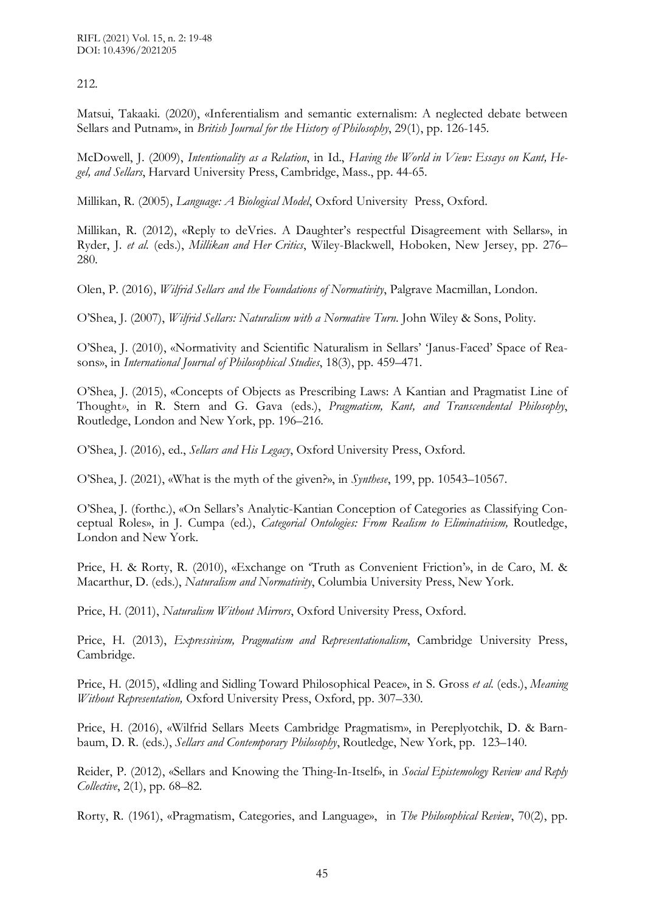212.

Matsui, Takaaki. (2020), «Inferentialism and semantic externalism: A neglected debate between Sellars and Putnam», in *British Journal for the History of Philosophy*, 29(1), pp. 126-145.

McDowell, J. (2009), *Intentionality as a Relation*, in Id., *Having the World in View: Essays on Kant, Hegel, and Sellars*, Harvard University Press, Cambridge, Mass., pp. 44-65.

Millikan, R. (2005), *Language: A Biological Model*, Oxford University Press, Oxford.

Millikan, R. (2012), «Reply to deVries. A Daughter's respectful Disagreement with Sellars», in Ryder, J. *et al.* (eds.), *Millikan and Her Critics*, Wiley-Blackwell, Hoboken, New Jersey, pp. 276– 280.

Olen, P. (2016), *Wilfrid Sellars and the Foundations of Normativity*, Palgrave Macmillan, London.

O'Shea, J. (2007), *Wilfrid Sellars: Naturalism with a Normative Turn*. John Wiley & Sons, Polity.

O'Shea, J. (2010), «Normativity and Scientific Naturalism in Sellars' 'Janus-Faced' Space of Reasons», in *International Journal of Philosophical Studies*, 18(3), pp. 459–471.

O'Shea, J. (2015), «Concepts of Objects as Prescribing Laws: A Kantian and Pragmatist Line of Thought*»*, in R. Stern and G. Gava (eds.), *Pragmatism, Kant, and Transcendental Philosophy*, Routledge, London and New York, pp. 196–216.

O'Shea, J. (2016), ed., *Sellars and His Legacy*, Oxford University Press, Oxford.

O'Shea, J. (2021), «What is the myth of the given?», in *Synthese*, 199, pp. 10543–10567.

O'Shea, J. (forthc.), «On Sellars's Analytic-Kantian Conception of Categories as Classifying Conceptual Roles», in J. Cumpa (ed.), *Categorial Ontologies: From Realism to Eliminativism,* Routledge, London and New York.

Price, H. & Rorty, R. (2010), «Exchange on 'Truth as Convenient Friction'», in de Caro, M. & Macarthur, D. (eds.), *Naturalism and Normativity*, Columbia University Press, New York.

Price, H. (2011), *Naturalism Without Mirrors*, Oxford University Press, Oxford.

Price, H. (2013), *Expressivism, Pragmatism and Representationalism*, Cambridge University Press, Cambridge.

Price, H. (2015), «Idling and Sidling Toward Philosophical Peace», in S. Gross *et al.* (eds.), *Meaning Without Representation,* Oxford University Press, Oxford, pp. 307–330.

Price, H. (2016), «Wilfrid Sellars Meets Cambridge Pragmatism», in Pereplyotchik, D. & Barnbaum, D. R. (eds.), *Sellars and Contemporary Philosophy*, Routledge, New York, pp. 123–140.

Reider, P. (2012), «Sellars and Knowing the Thing-In-Itself», in *Social Epistemology Review and Reply Collective*, 2(1), pp. 68–82.

Rorty, R. (1961), «Pragmatism, Categories, and Language», in *The Philosophical Review*, 70(2), pp.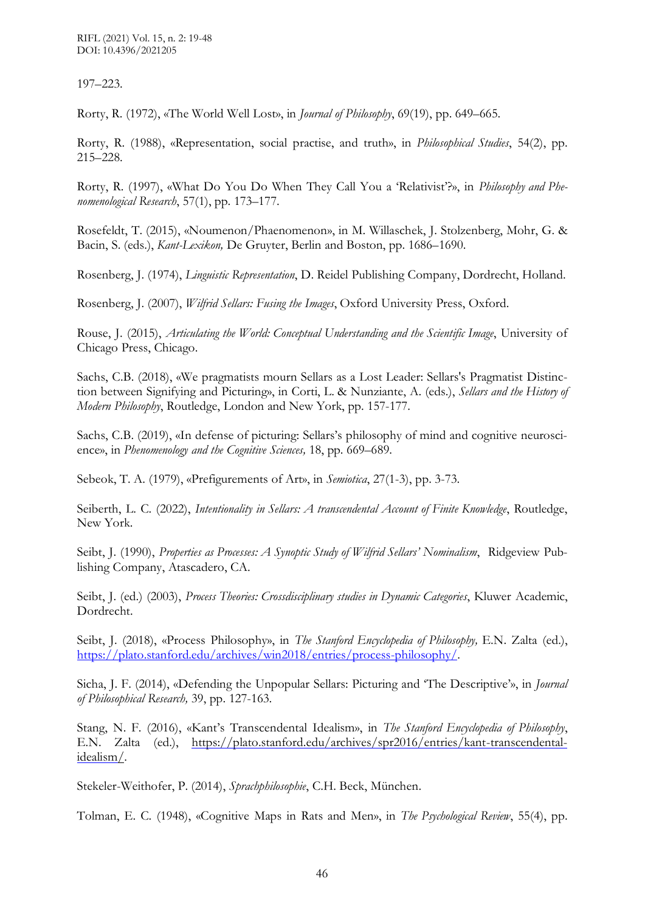RIFL (2021) Vol. 15, n. 2: 19-48 DOI: 10.4396/2021205

197–223.

Rorty, R. (1972), «The World Well Lost», in *Journal of Philosophy*, 69(19), pp. 649–665.

Rorty, R. (1988), «Representation, social practise, and truth», in *Philosophical Studies*, 54(2), pp. 215–228.

Rorty, R. (1997), «What Do You Do When They Call You a 'Relativist'?», in *Philosophy and Phenomenological Research*, 57(1), pp. 173–177.

Rosefeldt, T. (2015), «Noumenon/Phaenomenon», in M. Willaschek, J. Stolzenberg, Mohr, G. & Bacin, S. (eds.), *Kant-Lexikon,* De Gruyter, Berlin and Boston, pp. 1686–1690.

Rosenberg, J. (1974), *Linguistic Representation*, D. Reidel Publishing Company, Dordrecht, Holland.

Rosenberg, J. (2007), *Wilfrid Sellars: Fusing the Images*, Oxford University Press, Oxford.

Rouse, J. (2015), *Articulating the World: Conceptual Understanding and the Scientific Image*, University of Chicago Press, Chicago.

Sachs, C.B. (2018), «We pragmatists mourn Sellars as a Lost Leader: Sellars's Pragmatist Distinction between Signifying and Picturing», in Corti, L. & Nunziante, A. (eds.), *Sellars and the History of Modern Philosophy*, Routledge, London and New York, pp. 157-177.

Sachs, C.B. (2019), «In defense of picturing: Sellars's philosophy of mind and cognitive neuroscience», in *Phenomenology and the Cognitive Sciences,* 18, pp. 669–689.

Sebeok, T. A. (1979), «Prefigurements of Art», in *Semiotica*, 27(1-3), pp. 3-73.

Seiberth, L. C. (2022), *Intentionality in Sellars: A transcendental Account of Finite Knowledge*, Routledge, New York.

Seibt, J. (1990), *Properties as Processes: A Synoptic Study of Wilfrid Sellars' Nominalism*, Ridgeview Publishing Company, Atascadero, CA.

Seibt, J. (ed.) (2003), *Process Theories: Crossdisciplinary studies in Dynamic Categories*, Kluwer Academic, Dordrecht.

Seibt, J. (2018), «Process Philosophy», in *The Stanford Encyclopedia of Philosophy,* E.N. Zalta (ed.), [https://plato.stanford.edu/archives/win2018/entries/process-philosophy/.](https://plato.stanford.edu/archives/win2018/entries/process-philosophy/)

Sicha, J. F. (2014), «Defending the Unpopular Sellars: Picturing and 'The Descriptive'», in *Journal of Philosophical Research,* 39, pp. 127-163.

Stang, N. F. (2016), «Kant's Transcendental Idealism», in *The Stanford Encyclopedia of Philosophy*, E.N. Zalta (ed.), [https://plato.stanford.edu/archives/spr2016/entries/kant-transcendental](https://plato.stanford.edu/archives/spr2016/entries/kant-transcendental-idealism/)[idealism/.](https://plato.stanford.edu/archives/spr2016/entries/kant-transcendental-idealism/)

Stekeler-Weithofer, P. (2014), *Sprachphilosophie*, C.H. Beck, München.

Tolman, E. C. (1948), «Cognitive Maps in Rats and Men», in *The Psychological Review*, 55(4), pp.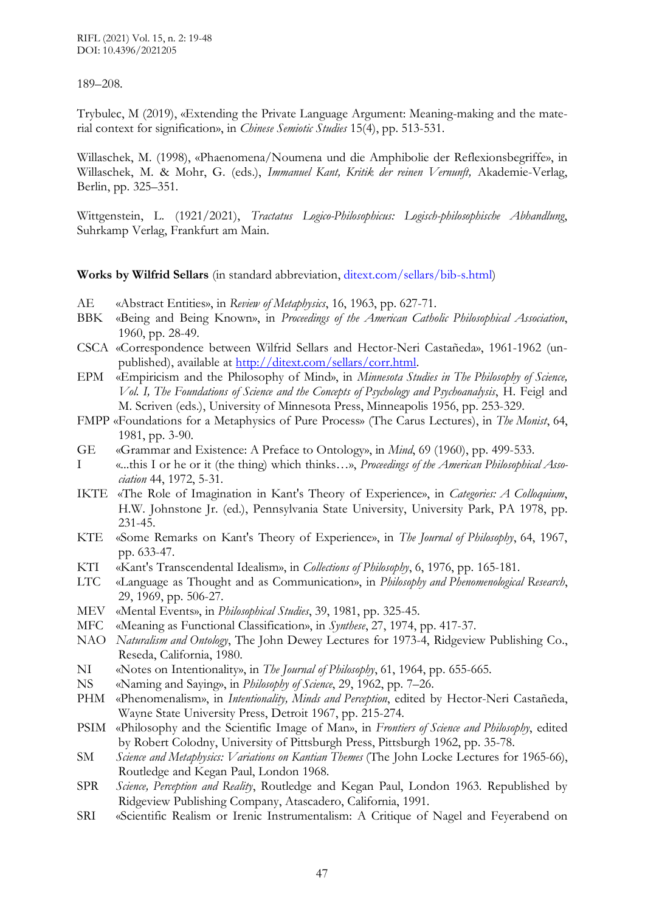#### 189–208.

Trybulec, M (2019), «Extending the Private Language Argument: Meaning-making and the material context for signification», in *Chinese Semiotic Studies* 15(4), pp. 513-531.

Willaschek, M. (1998), «Phaenomena/Noumena und die Amphibolie der Reflexionsbegriffe», in Willaschek, M. & Mohr, G. (eds.), *Immanuel Kant, Kritik der reinen Vernunft,* Akademie-Verlag, Berlin, pp. 325–351.

Wittgenstein, L. (1921/2021), *Tractatus Logico-Philosophicus: Logisch-philosophische Abhandlung*, Suhrkamp Verlag, Frankfurt am Main.

**Works by Wilfrid Sellars** (in standard abbreviation, [ditext.com/sellars/bib-s.html\)](http://www.ditext.com/sellars/bib-s.html)

- AE «Abstract Entities», in *Review of Metaphysics*, 16, 1963, pp. 627-71.
- BBK «Being and Being Known», in *Proceedings of the American Catholic Philosophical Association*, 1960, pp. 28-49.
- CSCA «Correspondence between Wilfrid Sellars and Hector-Neri Castañeda», 1961-1962 (unpublished), available at [http://ditext.com/sellars/corr.html.](http://ditext.com/sellars/corr.html)
- EPM «Empiricism and the Philosophy of Mind», in *Minnesota Studies in The Philosophy of Science, Vol. I, The Foundations of Science and the Concepts of Psychology and Psychoanalysis*, H. Feigl and M. Scriven (eds.), University of Minnesota Press, Minneapolis 1956, pp. 253-329.
- FMPP «Foundations for a Metaphysics of Pure Process» (The Carus Lectures), in *The Monist*, 64, 1981, pp. 3-90.
- GE «Grammar and Existence: A Preface to Ontology», in *Mind*, 69 (1960), pp. 499-533.
- I «...this I or he or it (the thing) which thinks…», *Proceedings of the American Philosophical Association* 44, 1972, 5-31.
- IKTE «The Role of Imagination in Kant's Theory of Experience», in *Categories: A Colloquium*, H.W. Johnstone Jr. (ed.), Pennsylvania State University, University Park, PA 1978, pp. 231-45.
- KTE «Some Remarks on Kant's Theory of Experience», in *The Journal of Philosophy*, 64, 1967, pp. 633-47.
- KTI «Kant's Transcendental Idealism», in *Collections of Philosophy*, 6, 1976, pp. 165-181.
- LTC «Language as Thought and as Communication», in *Philosophy and Phenomenological Research*, 29, 1969, pp. 506-27.
- MEV «Mental Events», in *Philosophical Studies*, 39, 1981, pp. 325-45.
- MFC «Meaning as Functional Classification», in *Synthese*, 27, 1974, pp. 417-37.
- NAO *Naturalism and Ontology*, The John Dewey Lectures for 1973-4, Ridgeview Publishing Co., Reseda, California, 1980.
- NI «Notes on Intentionality», in *The Journal of Philosophy*, 61, 1964, pp. 655-665.
- NS «Naming and Saying», in *Philosophy of Science*, 29, 1962, pp. 7–26.
- PHM «Phenomenalism», in *Intentionality, Minds and Perception*, edited by Hector-Neri Castañeda, Wayne State University Press, Detroit 1967, pp. 215-274.
- PSIM «Philosophy and the Scientific Image of Man», in *Frontiers of Science and Philosophy*, edited by Robert Colodny, University of Pittsburgh Press, Pittsburgh 1962, pp. 35-78.
- SM *Science and Metaphysics: Variations on Kantian Themes* (The John Locke Lectures for 1965-66), Routledge and Kegan Paul, London 1968.
- SPR *Science, Perception and Reality*, Routledge and Kegan Paul, London 1963. Republished by Ridgeview Publishing Company, Atascadero, California, 1991.
- SRI «Scientific Realism or Irenic Instrumentalism: A Critique of Nagel and Feyerabend on